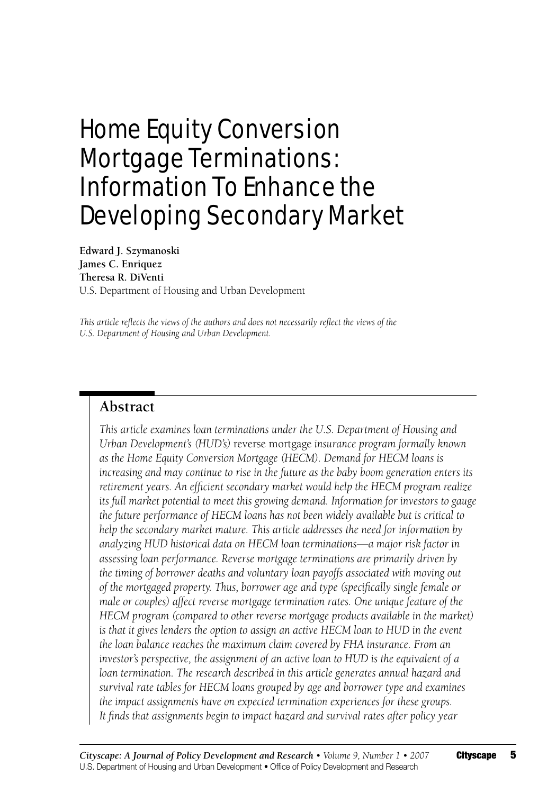# Home Equity Conversion Mortgage Terminations: Information To Enhance the Developing Secondary Market

**Edward J. Szymanoski James C. Enriquez Theresa R. DiVenti**  U.S. Department of Housing and Urban Development

*This article reflects the views of the authors and does not necessarily reflect the views of the U.S. Department of Housing and Urban Development.*

## **Abstract**

*This article examines loan terminations under the U.S. Department of Housing and Urban Development's (HUD's)* reverse mortgage *insurance program formally known as the Home Equity Conversion Mortgage (HECM). Demand for HECM loans is increasing and may continue to rise in the future as the baby boom generation enters its retirement years. An efficient secondary market would help the HECM program realize its full market potential to meet this growing demand. Information for investors to gauge the future performance of HECM loans has not been widely available but is critical to help the secondary market mature. This article addresses the need for information by analyzing HUD historical data on HECM loan terminations—a major risk factor in assessing loan performance. Reverse mortgage terminations are primarily driven by the timing of borrower deaths and voluntary loan payoffs associated with moving out of the mortgaged property. Thus, borrower age and type (specifically single female or male or couples) affect reverse mortgage termination rates. One unique feature of the HECM program (compared to other reverse mortgage products available in the market)*  is that it gives lenders the option to assign an active HECM loan to HUD in the event *the loan balance reaches the maximum claim covered by FHA insurance. From an investor's perspective, the assignment of an active loan to HUD is the equivalent of a*  loan termination. The research described in this article generates annual hazard and *survival rate tables for HECM loans grouped by age and borrower type and examines the impact assignments have on expected termination experiences for these groups. It finds that assignments begin to impact hazard and survival rates after policy year*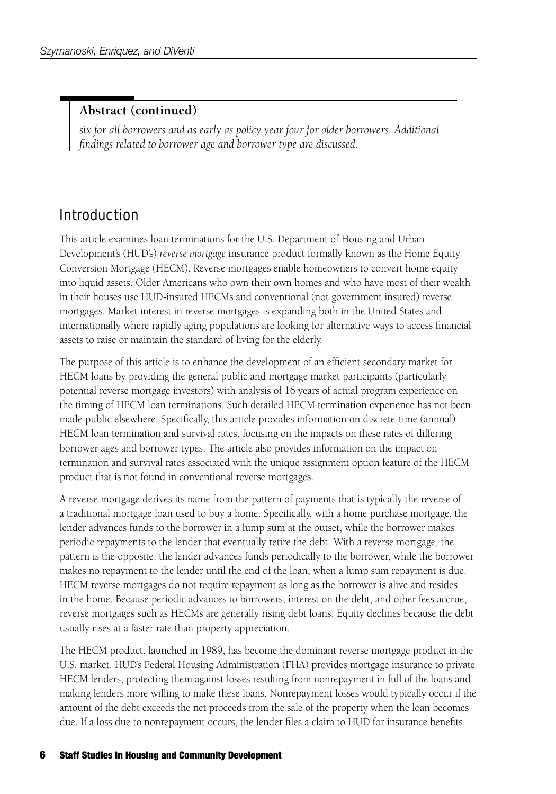#### **Abstract (continued)**

*six for all borrowers and as early as policy year four for older borrowers. Additional findings related to borrower age and borrower type are discussed.*

# Introduction

This article examines loan terminations for the U.S. Department of Housing and Urban Development's (HUD's) *reverse mortgage* insurance product formally known as the Home Equity Conversion Mortgage (HECM). Reverse mortgages enable homeowners to convert home equity into liquid assets. Older Americans who own their own homes and who have most of their wealth in their houses use HUD-insured HECMs and conventional (not government insured) reverse mortgages. Market interest in reverse mortgages is expanding both in the United States and internationally where rapidly aging populations are looking for alternative ways to access financial assets to raise or maintain the standard of living for the elderly.

The purpose of this article is to enhance the development of an efficient secondary market for HECM loans by providing the general public and mortgage market participants (particularly potential reverse mortgage investors) with analysis of 16 years of actual program experience on the timing of HECM loan terminations. Such detailed HECM termination experience has not been made public elsewhere. Specifically, this article provides information on discrete-time (annual) HECM loan termination and survival rates, focusing on the impacts on these rates of differing borrower ages and borrower types. The article also provides information on the impact on termination and survival rates associated with the unique assignment option feature of the HECM product that is not found in conventional reverse mortgages.

A reverse mortgage derives its name from the pattern of payments that is typically the reverse of a traditional mortgage loan used to buy a home. Specifically, with a home purchase mortgage, the lender advances funds to the borrower in a lump sum at the outset, while the borrower makes periodic repayments to the lender that eventually retire the debt. With a reverse mortgage, the pattern is the opposite: the lender advances funds periodically to the borrower, while the borrower makes no repayment to the lender until the end of the loan, when a lump sum repayment is due. HECM reverse mortgages do not require repayment as long as the borrower is alive and resides in the home. Because periodic advances to borrowers, interest on the debt, and other fees accrue, reverse mortgages such as HECMs are generally rising debt loans. Equity declines because the debt usually rises at a faster rate than property appreciation.

The HECM product, launched in 1989, has become the dominant reverse mortgage product in the U.S. market. HUD's Federal Housing Administration (FHA) provides mortgage insurance to private HECM lenders, protecting them against losses resulting from nonrepayment in full of the loans and making lenders more willing to make these loans. Nonrepayment losses would typically occur if the amount of the debt exceeds the net proceeds from the sale of the property when the loan becomes due. If a loss due to nonrepayment occurs, the lender files a claim to HUD for insurance benefits.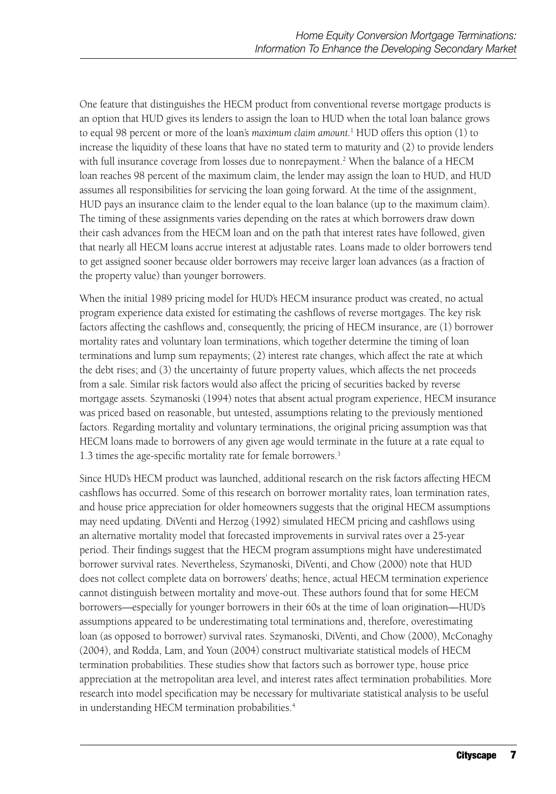One feature that distinguishes the HECM product from conventional reverse mortgage products is an option that HUD gives its lenders to assign the loan to HUD when the total loan balance grows to equal 98 percent or more of the loan's *maximum claim amount.*<sup>1</sup> HUD offers this option (1) to increase the liquidity of these loans that have no stated term to maturity and (2) to provide lenders with full insurance coverage from losses due to nonrepayment.<sup>2</sup> When the balance of a HECM loan reaches 98 percent of the maximum claim, the lender may assign the loan to HUD, and HUD assumes all responsibilities for servicing the loan going forward. At the time of the assignment, HUD pays an insurance claim to the lender equal to the loan balance (up to the maximum claim). The timing of these assignments varies depending on the rates at which borrowers draw down their cash advances from the HECM loan and on the path that interest rates have followed, given that nearly all HECM loans accrue interest at adjustable rates. Loans made to older borrowers tend to get assigned sooner because older borrowers may receive larger loan advances (as a fraction of the property value) than younger borrowers.

When the initial 1989 pricing model for HUD's HECM insurance product was created, no actual program experience data existed for estimating the cashflows of reverse mortgages. The key risk factors affecting the cashflows and, consequently, the pricing of HECM insurance, are (1) borrower mortality rates and voluntary loan terminations, which together determine the timing of loan terminations and lump sum repayments; (2) interest rate changes, which affect the rate at which the debt rises; and (3) the uncertainty of future property values, which affects the net proceeds from a sale. Similar risk factors would also affect the pricing of securities backed by reverse mortgage assets. Szymanoski (1994) notes that absent actual program experience, HECM insurance was priced based on reasonable, but untested, assumptions relating to the previously mentioned factors. Regarding mortality and voluntary terminations, the original pricing assumption was that HECM loans made to borrowers of any given age would terminate in the future at a rate equal to 1.3 times the age-specific mortality rate for female borrowers.3

Since HUD's HECM product was launched, additional research on the risk factors affecting HECM cashflows has occurred. Some of this research on borrower mortality rates, loan termination rates, and house price appreciation for older homeowners suggests that the original HECM assumptions may need updating. DiVenti and Herzog (1992) simulated HECM pricing and cashflows using an alternative mortality model that forecasted improvements in survival rates over a 25-year period. Their findings suggest that the HECM program assumptions might have underestimated borrower survival rates. Nevertheless, Szymanoski, DiVenti, and Chow (2000) note that HUD does not collect complete data on borrowers' deaths; hence, actual HECM termination experience cannot distinguish between mortality and move-out. These authors found that for some HECM borrowers—especially for younger borrowers in their 60s at the time of loan origination—HUD's assumptions appeared to be underestimating total terminations and, therefore, overestimating loan (as opposed to borrower) survival rates. Szymanoski, DiVenti, and Chow (2000), McConaghy (2004), and Rodda, Lam, and Youn (2004) construct multivariate statistical models of HECM termination probabilities. These studies show that factors such as borrower type, house price appreciation at the metropolitan area level, and interest rates affect termination probabilities. More research into model specification may be necessary for multivariate statistical analysis to be useful in understanding HECM termination probabilities.<sup>4</sup>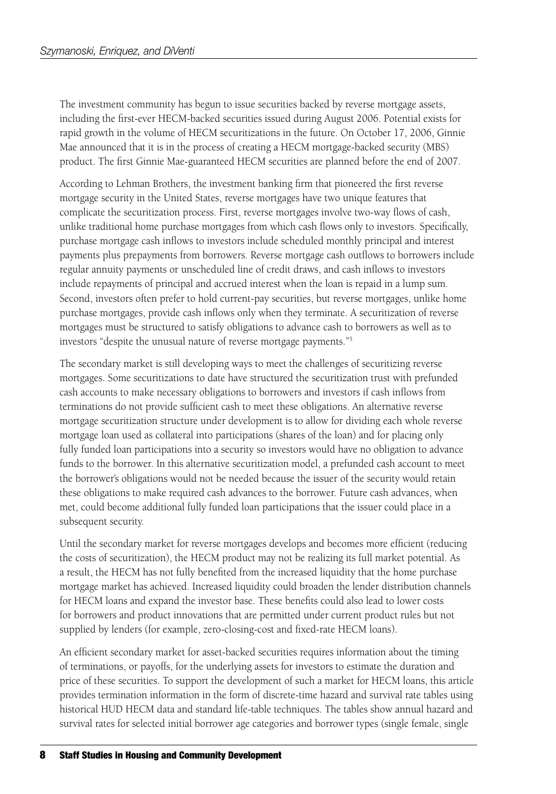The investment community has begun to issue securities backed by reverse mortgage assets, including the first-ever HECM-backed securities issued during August 2006. Potential exists for rapid growth in the volume of HECM securitizations in the future. On October 17, 2006, Ginnie Mae announced that it is in the process of creating a HECM mortgage-backed security (MBS) product. The first Ginnie Mae-guaranteed HECM securities are planned before the end of 2007.

According to Lehman Brothers, the investment banking firm that pioneered the first reverse mortgage security in the United States, reverse mortgages have two unique features that complicate the securitization process. First, reverse mortgages involve two-way flows of cash, unlike traditional home purchase mortgages from which cash flows only to investors. Specifically, purchase mortgage cash inflows to investors include scheduled monthly principal and interest payments plus prepayments from borrowers. Reverse mortgage cash outflows to borrowers include regular annuity payments or unscheduled line of credit draws, and cash inflows to investors include repayments of principal and accrued interest when the loan is repaid in a lump sum. Second, investors often prefer to hold current-pay securities, but reverse mortgages, unlike home purchase mortgages, provide cash inflows only when they terminate. A securitization of reverse mortgages must be structured to satisfy obligations to advance cash to borrowers as well as to investors "despite the unusual nature of reverse mortgage payments."5

The secondary market is still developing ways to meet the challenges of securitizing reverse mortgages. Some securitizations to date have structured the securitization trust with prefunded cash accounts to make necessary obligations to borrowers and investors if cash inflows from terminations do not provide sufficient cash to meet these obligations. An alternative reverse mortgage securitization structure under development is to allow for dividing each whole reverse mortgage loan used as collateral into participations (shares of the loan) and for placing only fully funded loan participations into a security so investors would have no obligation to advance funds to the borrower. In this alternative securitization model, a prefunded cash account to meet the borrower's obligations would not be needed because the issuer of the security would retain these obligations to make required cash advances to the borrower. Future cash advances, when met, could become additional fully funded loan participations that the issuer could place in a subsequent security.

Until the secondary market for reverse mortgages develops and becomes more efficient (reducing the costs of securitization), the HECM product may not be realizing its full market potential. As a result, the HECM has not fully benefited from the increased liquidity that the home purchase mortgage market has achieved. Increased liquidity could broaden the lender distribution channels for HECM loans and expand the investor base. These benefits could also lead to lower costs for borrowers and product innovations that are permitted under current product rules but not supplied by lenders (for example, zero-closing-cost and fixed-rate HECM loans).

An efficient secondary market for asset-backed securities requires information about the timing of terminations, or payoffs, for the underlying assets for investors to estimate the duration and price of these securities. To support the development of such a market for HECM loans, this article provides termination information in the form of discrete-time hazard and survival rate tables using historical HUD HECM data and standard life-table techniques. The tables show annual hazard and survival rates for selected initial borrower age categories and borrower types (single female, single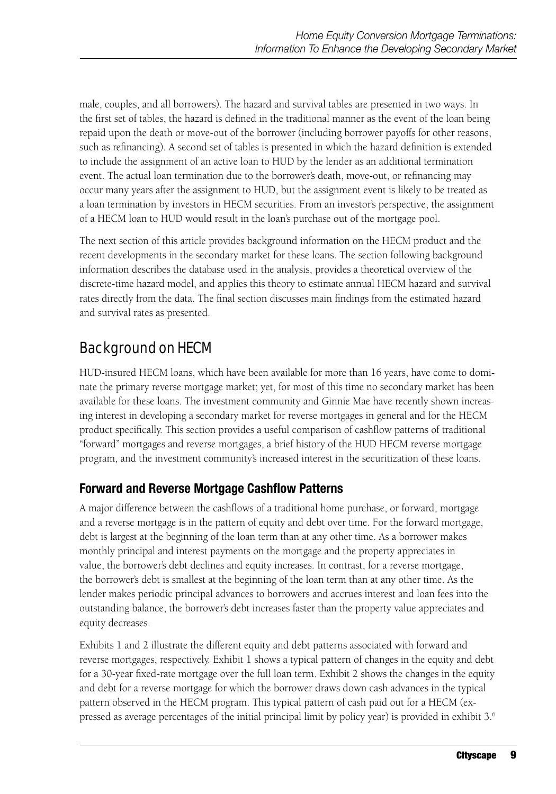male, couples, and all borrowers). The hazard and survival tables are presented in two ways. In the first set of tables, the hazard is defined in the traditional manner as the event of the loan being repaid upon the death or move-out of the borrower (including borrower payoffs for other reasons, such as refinancing). A second set of tables is presented in which the hazard definition is extended to include the assignment of an active loan to HUD by the lender as an additional termination event. The actual loan termination due to the borrower's death, move-out, or refinancing may occur many years after the assignment to HUD, but the assignment event is likely to be treated as a loan termination by investors in HECM securities. From an investor's perspective, the assignment of a HECM loan to HUD would result in the loan's purchase out of the mortgage pool.

The next section of this article provides background information on the HECM product and the recent developments in the secondary market for these loans. The section following background information describes the database used in the analysis, provides a theoretical overview of the discrete-time hazard model, and applies this theory to estimate annual HECM hazard and survival rates directly from the data. The final section discusses main findings from the estimated hazard and survival rates as presented.

# Background on HECM

HUD-insured HECM loans, which have been available for more than 16 years, have come to dominate the primary reverse mortgage market; yet, for most of this time no secondary market has been available for these loans. The investment community and Ginnie Mae have recently shown increasing interest in developing a secondary market for reverse mortgages in general and for the HECM product specifically. This section provides a useful comparison of cashflow patterns of traditional "forward" mortgages and reverse mortgages, a brief history of the HUD HECM reverse mortgage program, and the investment community's increased interest in the securitization of these loans.

## **Forward and Reverse Mortgage Cashflow Patterns**

A major difference between the cashflows of a traditional home purchase, or forward, mortgage and a reverse mortgage is in the pattern of equity and debt over time. For the forward mortgage, debt is largest at the beginning of the loan term than at any other time. As a borrower makes monthly principal and interest payments on the mortgage and the property appreciates in value, the borrower's debt declines and equity increases. In contrast, for a reverse mortgage, the borrower's debt is smallest at the beginning of the loan term than at any other time. As the lender makes periodic principal advances to borrowers and accrues interest and loan fees into the outstanding balance, the borrower's debt increases faster than the property value appreciates and equity decreases.

Exhibits 1 and 2 illustrate the different equity and debt patterns associated with forward and reverse mortgages, respectively. Exhibit 1 shows a typical pattern of changes in the equity and debt for a 30-year fixed-rate mortgage over the full loan term. Exhibit 2 shows the changes in the equity and debt for a reverse mortgage for which the borrower draws down cash advances in the typical pattern observed in the HECM program. This typical pattern of cash paid out for a HECM (expressed as average percentages of the initial principal limit by policy year) is provided in exhibit 3.6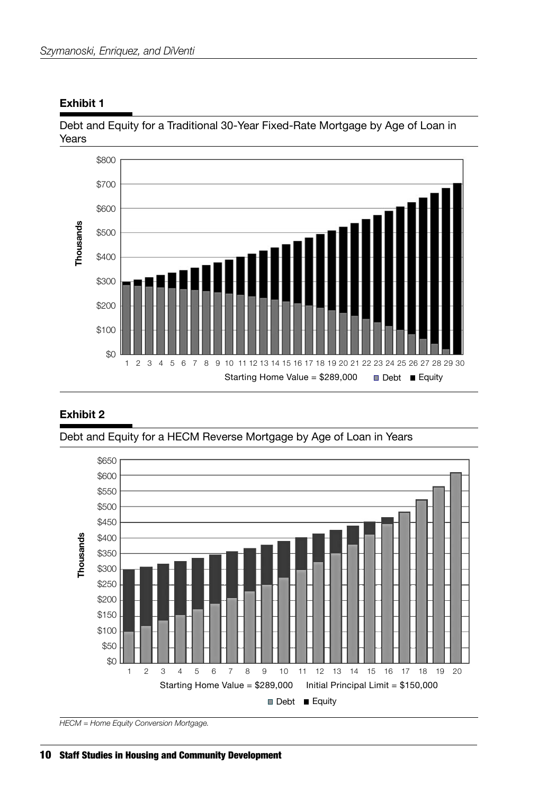

Debt and Equity for a Traditional 30-Year Fixed-Rate Mortgage by Age of Loan in Years



#### **Exhibit 2**

Debt and Equity for a HECM Reverse Mortgage by Age of Loan in Years

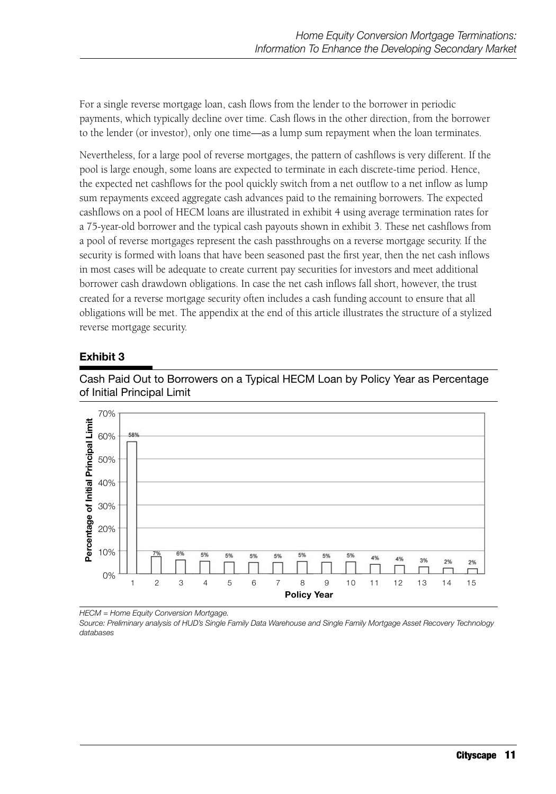For a single reverse mortgage loan, cash flows from the lender to the borrower in periodic payments, which typically decline over time. Cash flows in the other direction, from the borrower to the lender (or investor), only one time—as a lump sum repayment when the loan terminates.

Nevertheless, for a large pool of reverse mortgages, the pattern of cashflows is very different. If the pool is large enough, some loans are expected to terminate in each discrete-time period. Hence, the expected net cashflows for the pool quickly switch from a net outflow to a net inflow as lump sum repayments exceed aggregate cash advances paid to the remaining borrowers. The expected cashflows on a pool of HECM loans are illustrated in exhibit 4 using average termination rates for a 75-year-old borrower and the typical cash payouts shown in exhibit 3. These net cashflows from a pool of reverse mortgages represent the cash passthroughs on a reverse mortgage security. If the security is formed with loans that have been seasoned past the first year, then the net cash inflows in most cases will be adequate to create current pay securities for investors and meet additional borrower cash drawdown obligations. In case the net cash inflows fall short, however, the trust created for a reverse mortgage security often includes a cash funding account to ensure that all obligations will be met. The appendix at the end of this article illustrates the structure of a stylized reverse mortgage security.

#### **Exhibit 3**



Cash Paid Out to Borrowers on a Typical HECM Loan by Policy Year as Percentage of Initial Principal Limit

*HECM = Home Equity Conversion Mortgage.*

*Source: Preliminary analysis of HUD's Single Family Data Warehouse and Single Family Mortgage Asset Recovery Technology databases*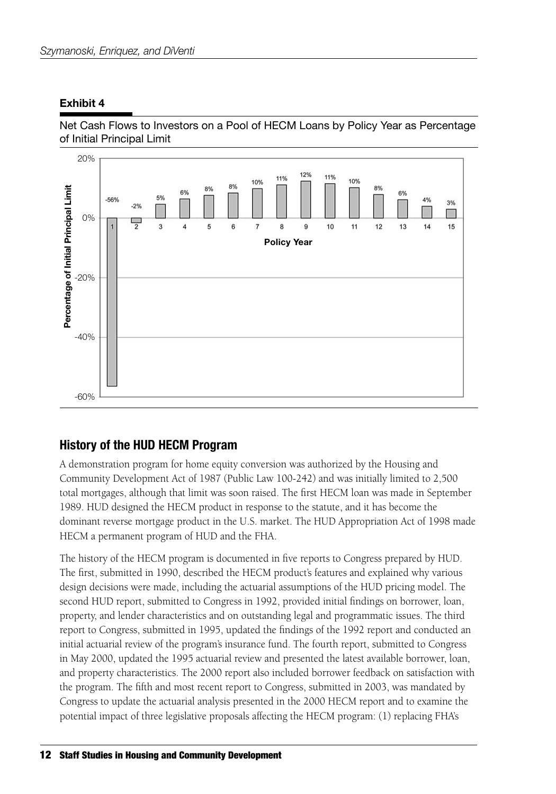#### **Exhibit 4**





#### **History of the HUD HECM Program**

A demonstration program for home equity conversion was authorized by the Housing and Community Development Act of 1987 (Public Law 100-242) and was initially limited to 2,500 total mortgages, although that limit was soon raised. The first HECM loan was made in September 1989. HUD designed the HECM product in response to the statute, and it has become the dominant reverse mortgage product in the U.S. market. The HUD Appropriation Act of 1998 made HECM a permanent program of HUD and the FHA.

The history of the HECM program is documented in five reports to Congress prepared by HUD. The first, submitted in 1990, described the HECM product's features and explained why various design decisions were made, including the actuarial assumptions of the HUD pricing model. The second HUD report, submitted to Congress in 1992, provided initial findings on borrower, loan, property, and lender characteristics and on outstanding legal and programmatic issues. The third report to Congress, submitted in 1995, updated the findings of the 1992 report and conducted an initial actuarial review of the program's insurance fund. The fourth report, submitted to Congress in May 2000, updated the 1995 actuarial review and presented the latest available borrower, loan, and property characteristics. The 2000 report also included borrower feedback on satisfaction with the program. The fifth and most recent report to Congress, submitted in 2003, was mandated by Congress to update the actuarial analysis presented in the 2000 HECM report and to examine the potential impact of three legislative proposals affecting the HECM program: (1) replacing FHA's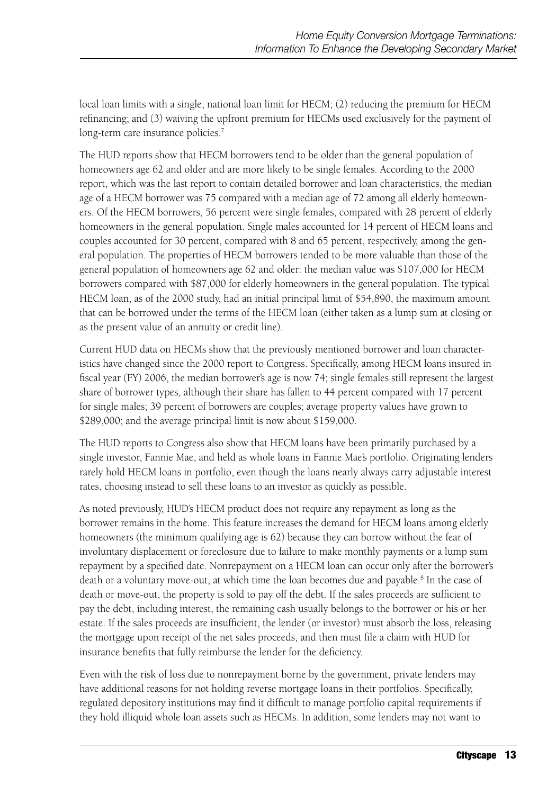local loan limits with a single, national loan limit for HECM; (2) reducing the premium for HECM refinancing; and (3) waiving the upfront premium for HECMs used exclusively for the payment of long-term care insurance policies.<sup>7</sup>

The HUD reports show that HECM borrowers tend to be older than the general population of homeowners age 62 and older and are more likely to be single females. According to the 2000 report, which was the last report to contain detailed borrower and loan characteristics, the median age of a HECM borrower was 75 compared with a median age of 72 among all elderly homeowners. Of the HECM borrowers, 56 percent were single females, compared with 28 percent of elderly homeowners in the general population. Single males accounted for 14 percent of HECM loans and couples accounted for 30 percent, compared with 8 and 65 percent, respectively, among the general population. The properties of HECM borrowers tended to be more valuable than those of the general population of homeowners age 62 and older: the median value was \$107,000 for HECM borrowers compared with \$87,000 for elderly homeowners in the general population. The typical HECM loan, as of the 2000 study, had an initial principal limit of \$54,890, the maximum amount that can be borrowed under the terms of the HECM loan (either taken as a lump sum at closing or as the present value of an annuity or credit line).

Current HUD data on HECMs show that the previously mentioned borrower and loan characteristics have changed since the 2000 report to Congress. Specifically, among HECM loans insured in fiscal year (FY) 2006, the median borrower's age is now 74; single females still represent the largest share of borrower types, although their share has fallen to 44 percent compared with 17 percent for single males; 39 percent of borrowers are couples; average property values have grown to \$289,000; and the average principal limit is now about \$159,000.

The HUD reports to Congress also show that HECM loans have been primarily purchased by a single investor, Fannie Mae, and held as whole loans in Fannie Mae's portfolio. Originating lenders rarely hold HECM loans in portfolio, even though the loans nearly always carry adjustable interest rates, choosing instead to sell these loans to an investor as quickly as possible.

As noted previously, HUD's HECM product does not require any repayment as long as the borrower remains in the home. This feature increases the demand for HECM loans among elderly homeowners (the minimum qualifying age is 62) because they can borrow without the fear of involuntary displacement or foreclosure due to failure to make monthly payments or a lump sum repayment by a specified date. Nonrepayment on a HECM loan can occur only after the borrower's death or a voluntary move-out, at which time the loan becomes due and payable.<sup>8</sup> In the case of death or move-out, the property is sold to pay off the debt. If the sales proceeds are sufficient to pay the debt, including interest, the remaining cash usually belongs to the borrower or his or her estate. If the sales proceeds are insufficient, the lender (or investor) must absorb the loss, releasing the mortgage upon receipt of the net sales proceeds, and then must file a claim with HUD for insurance benefits that fully reimburse the lender for the deficiency.

Even with the risk of loss due to nonrepayment borne by the government, private lenders may have additional reasons for not holding reverse mortgage loans in their portfolios. Specifically, regulated depository institutions may find it difficult to manage portfolio capital requirements if they hold illiquid whole loan assets such as HECMs. In addition, some lenders may not want to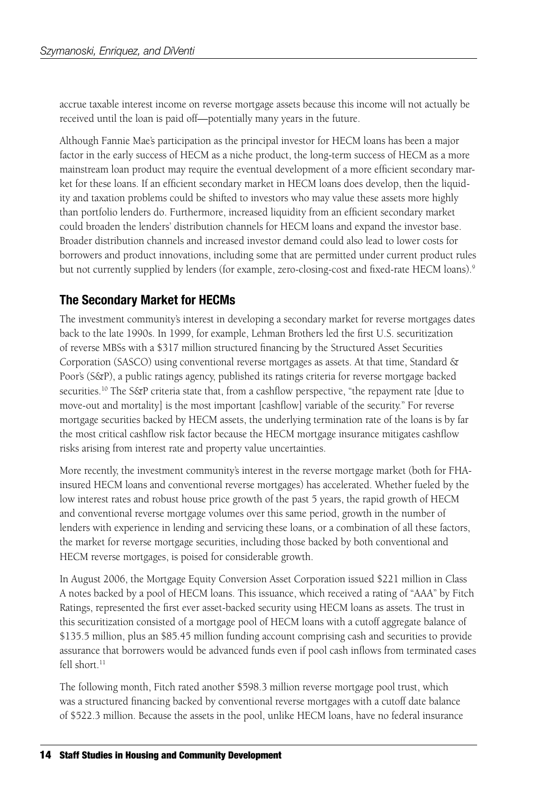accrue taxable interest income on reverse mortgage assets because this income will not actually be received until the loan is paid off—potentially many years in the future.

Although Fannie Mae's participation as the principal investor for HECM loans has been a major factor in the early success of HECM as a niche product, the long-term success of HECM as a more mainstream loan product may require the eventual development of a more efficient secondary market for these loans. If an efficient secondary market in HECM loans does develop, then the liquidity and taxation problems could be shifted to investors who may value these assets more highly than portfolio lenders do. Furthermore, increased liquidity from an efficient secondary market could broaden the lenders' distribution channels for HECM loans and expand the investor base. Broader distribution channels and increased investor demand could also lead to lower costs for borrowers and product innovations, including some that are permitted under current product rules but not currently supplied by lenders (for example, zero-closing-cost and fixed-rate HECM loans).<sup>9</sup>

## **The Secondary Market for HECMs**

The investment community's interest in developing a secondary market for reverse mortgages dates back to the late 1990s. In 1999, for example, Lehman Brothers led the first U.S. securitization of reverse MBSs with a \$317 million structured financing by the Structured Asset Securities Corporation (SASCO) using conventional reverse mortgages as assets. At that time, Standard & Poor's (S&P), a public ratings agency, published its ratings criteria for reverse mortgage backed securities.10 The S&P criteria state that, from a cashflow perspective, "the repayment rate [due to move-out and mortality] is the most important [cashflow] variable of the security." For reverse mortgage securities backed by HECM assets, the underlying termination rate of the loans is by far the most critical cashflow risk factor because the HECM mortgage insurance mitigates cashflow risks arising from interest rate and property value uncertainties.

More recently, the investment community's interest in the reverse mortgage market (both for FHAinsured HECM loans and conventional reverse mortgages) has accelerated. Whether fueled by the low interest rates and robust house price growth of the past 5 years, the rapid growth of HECM and conventional reverse mortgage volumes over this same period, growth in the number of lenders with experience in lending and servicing these loans, or a combination of all these factors, the market for reverse mortgage securities, including those backed by both conventional and HECM reverse mortgages, is poised for considerable growth.

In August 2006, the Mortgage Equity Conversion Asset Corporation issued \$221 million in Class A notes backed by a pool of HECM loans. This issuance, which received a rating of "AAA" by Fitch Ratings, represented the first ever asset-backed security using HECM loans as assets. The trust in this securitization consisted of a mortgage pool of HECM loans with a cutoff aggregate balance of \$135.5 million, plus an \$85.45 million funding account comprising cash and securities to provide assurance that borrowers would be advanced funds even if pool cash inflows from terminated cases fell short. $11$ 

The following month, Fitch rated another \$598.3 million reverse mortgage pool trust, which was a structured financing backed by conventional reverse mortgages with a cutoff date balance of \$522.3 million. Because the assets in the pool, unlike HECM loans, have no federal insurance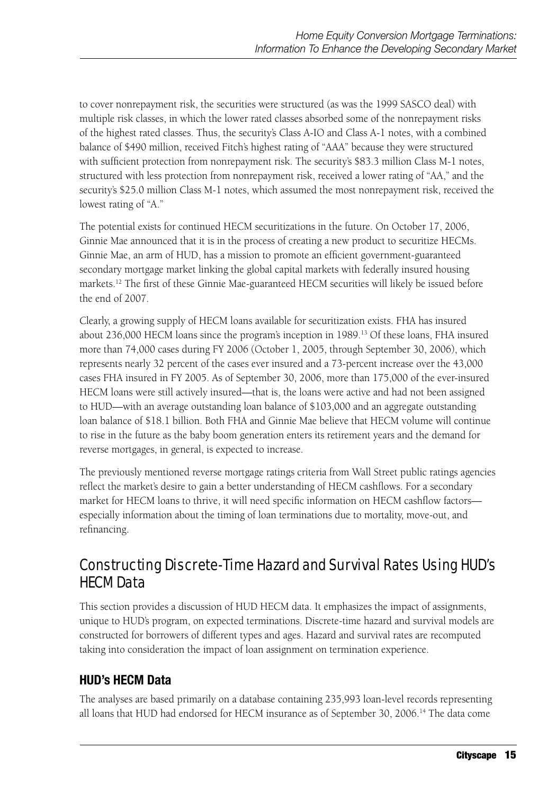to cover nonrepayment risk, the securities were structured (as was the 1999 SASCO deal) with multiple risk classes, in which the lower rated classes absorbed some of the nonrepayment risks of the highest rated classes. Thus, the security's Class A-IO and Class A-1 notes, with a combined balance of \$490 million, received Fitch's highest rating of "AAA" because they were structured with sufficient protection from nonrepayment risk. The security's \$83.3 million Class M-1 notes, structured with less protection from nonrepayment risk, received a lower rating of "AA," and the security's \$25.0 million Class M-1 notes, which assumed the most nonrepayment risk, received the lowest rating of "A."

The potential exists for continued HECM securitizations in the future. On October 17, 2006, Ginnie Mae announced that it is in the process of creating a new product to securitize HECMs. Ginnie Mae, an arm of HUD, has a mission to promote an efficient government-guaranteed secondary mortgage market linking the global capital markets with federally insured housing markets.12 The first of these Ginnie Mae-guaranteed HECM securities will likely be issued before the end of 2007.

Clearly, a growing supply of HECM loans available for securitization exists. FHA has insured about 236,000 HECM loans since the program's inception in 1989.13 Of these loans, FHA insured more than 74,000 cases during FY 2006 (October 1, 2005, through September 30, 2006), which represents nearly 32 percent of the cases ever insured and a 73-percent increase over the 43,000 cases FHA insured in FY 2005. As of September 30, 2006, more than 175,000 of the ever-insured HECM loans were still actively insured—that is, the loans were active and had not been assigned to HUD—with an average outstanding loan balance of \$103,000 and an aggregate outstanding loan balance of \$18.1 billion. Both FHA and Ginnie Mae believe that HECM volume will continue to rise in the future as the baby boom generation enters its retirement years and the demand for reverse mortgages, in general, is expected to increase.

The previously mentioned reverse mortgage ratings criteria from Wall Street public ratings agencies reflect the market's desire to gain a better understanding of HECM cashflows. For a secondary market for HECM loans to thrive, it will need specific information on HECM cashflow factors especially information about the timing of loan terminations due to mortality, move-out, and refinancing.

# Constructing Discrete-Time Hazard and Survival Rates Using HUD's HECM Data

This section provides a discussion of HUD HECM data. It emphasizes the impact of assignments, unique to HUD's program, on expected terminations. Discrete-time hazard and survival models are constructed for borrowers of different types and ages. Hazard and survival rates are recomputed taking into consideration the impact of loan assignment on termination experience.

## **HUD's HECM Data**

The analyses are based primarily on a database containing 235,993 loan-level records representing all loans that HUD had endorsed for HECM insurance as of September 30, 2006.<sup>14</sup> The data come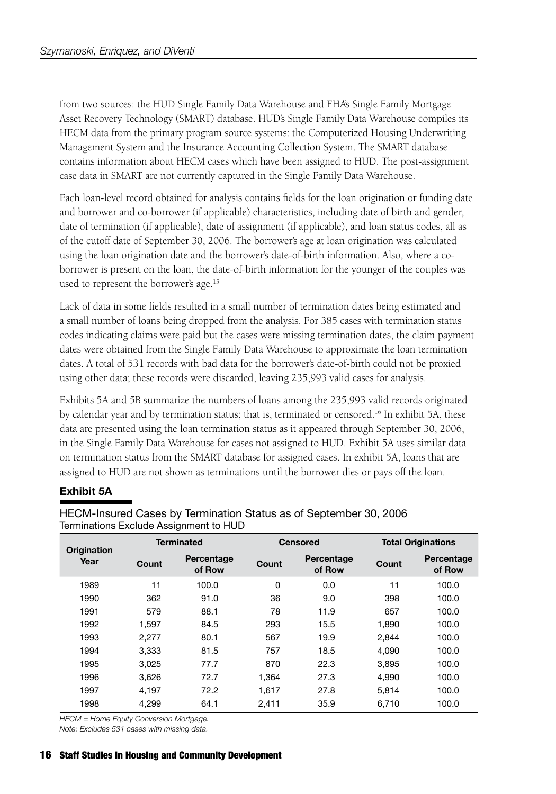from two sources: the HUD Single Family Data Warehouse and FHA's Single Family Mortgage Asset Recovery Technology (SMART) database. HUD's Single Family Data Warehouse compiles its HECM data from the primary program source systems: the Computerized Housing Underwriting Management System and the Insurance Accounting Collection System. The SMART database contains information about HECM cases which have been assigned to HUD. The post-assignment case data in SMART are not currently captured in the Single Family Data Warehouse.

Each loan-level record obtained for analysis contains fields for the loan origination or funding date and borrower and co-borrower (if applicable) characteristics, including date of birth and gender, date of termination (if applicable), date of assignment (if applicable), and loan status codes, all as of the cutoff date of September 30, 2006. The borrower's age at loan origination was calculated using the loan origination date and the borrower's date-of-birth information. Also, where a coborrower is present on the loan, the date-of-birth information for the younger of the couples was used to represent the borrower's age.<sup>15</sup>

Lack of data in some fields resulted in a small number of termination dates being estimated and a small number of loans being dropped from the analysis. For 385 cases with termination status codes indicating claims were paid but the cases were missing termination dates, the claim payment dates were obtained from the Single Family Data Warehouse to approximate the loan termination dates. A total of 531 records with bad data for the borrower's date-of-birth could not be proxied using other data; these records were discarded, leaving 235,993 valid cases for analysis.

Exhibits 5A and 5B summarize the numbers of loans among the 235,993 valid records originated by calendar year and by termination status; that is, terminated or censored.<sup>16</sup> In exhibit 5A, these data are presented using the loan termination status as it appeared through September 30, 2006, in the Single Family Data Warehouse for cases not assigned to HUD. Exhibit 5A uses similar data on termination status from the SMART database for assigned cases. In exhibit 5A, loans that are assigned to HUD are not shown as terminations until the borrower dies or pays off the loan.

#### **Exhibit 5A**

| Origination |       | <b>Terminated</b>    |       | <b>Censored</b>      |       | <b>Total Originations</b> |
|-------------|-------|----------------------|-------|----------------------|-------|---------------------------|
| Year        | Count | Percentage<br>of Row | Count | Percentage<br>of Row | Count | Percentage<br>of Row      |
| 1989        | 11    | 100.0                | 0     | 0.0                  | 11    | 100.0                     |
| 1990        | 362   | 91.0                 | 36    | 9.0                  | 398   | 100.0                     |
| 1991        | 579   | 88.1                 | 78    | 11.9                 | 657   | 100.0                     |
| 1992        | 1,597 | 84.5                 | 293   | 15.5                 | 1,890 | 100.0                     |
| 1993        | 2.277 | 80.1                 | 567   | 19.9                 | 2.844 | 100.0                     |
| 1994        | 3,333 | 81.5                 | 757   | 18.5                 | 4,090 | 100.0                     |
| 1995        | 3.025 | 77.7                 | 870   | 22.3                 | 3.895 | 100.0                     |
| 1996        | 3.626 | 72.7                 | 1.364 | 27.3                 | 4.990 | 100.0                     |
| 1997        | 4.197 | 72.2                 | 1,617 | 27.8                 | 5,814 | 100.0                     |
| 1998        | 4,299 | 64.1                 | 2,411 | 35.9                 | 6,710 | 100.0                     |

HECM-Insured Cases by Termination Status as of September 30, 2006 Terminations Exclude Assignment to HUD

*HECM = Home Equity Conversion Mortgage.*

*Note: Excludes 531 cases with missing data.*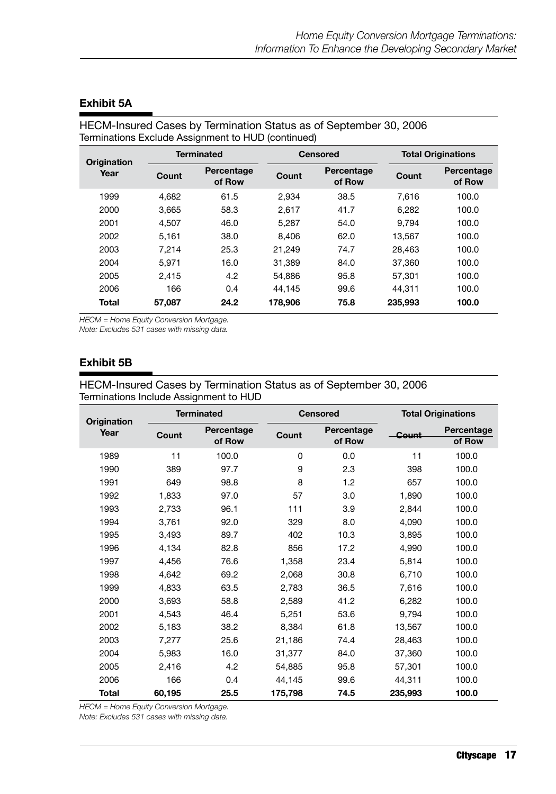|             | $\frac{1}{2}$ |                      |         |                      |         |                           |  |
|-------------|---------------|----------------------|---------|----------------------|---------|---------------------------|--|
| Origination |               | <b>Terminated</b>    |         | <b>Censored</b>      |         | <b>Total Originations</b> |  |
| Year        | Count         | Percentage<br>of Row | Count   | Percentage<br>of Row | Count   | Percentage<br>of Row      |  |
| 1999        | 4.682         | 61.5                 | 2.934   | 38.5                 | 7.616   | 100.0                     |  |
| 2000        | 3.665         | 58.3                 | 2.617   | 41.7                 | 6.282   | 100.0                     |  |
| 2001        | 4.507         | 46.0                 | 5.287   | 54.0                 | 9.794   | 100.0                     |  |
| 2002        | 5.161         | 38.0                 | 8.406   | 62.0                 | 13.567  | 100.0                     |  |
| 2003        | 7.214         | 25.3                 | 21.249  | 74.7                 | 28.463  | 100.0                     |  |
| 2004        | 5.971         | 16.0                 | 31.389  | 84.0                 | 37.360  | 100.0                     |  |
| 2005        | 2.415         | 4.2                  | 54.886  | 95.8                 | 57.301  | 100.0                     |  |
| 2006        | 166           | 0.4                  | 44.145  | 99.6                 | 44.311  | 100.0                     |  |
| Total       | 57.087        | 24.2                 | 178,906 | 75.8                 | 235,993 | 100.0                     |  |

#### **Exhibit 5A**

HECM-Insured Cases by Termination Status as of September 30, 2006 Terminations Exclude Assignment to HUD (continued)

*HECM = Home Equity Conversion Mortgage.*

*Note: Excludes 531 cases with missing data.*

#### **Exhibit 5B**

#### HECM-Insured Cases by Termination Status as of September 30, 2006 Terminations Include Assignment to HUD

|                     |        | <b>Terminated</b>    |         | <b>Censored</b>      |         | <b>Total Originations</b> |
|---------------------|--------|----------------------|---------|----------------------|---------|---------------------------|
| Origination<br>Year | Count  | Percentage<br>of Row | Count   | Percentage<br>of Row | Count   | Percentage<br>of Row      |
| 1989                | 11     | 100.0                | 0       | 0.0                  | 11      | 100.0                     |
| 1990                | 389    | 97.7                 | 9       | 2.3                  | 398     | 100.0                     |
| 1991                | 649    | 98.8                 | 8       | 1.2                  | 657     | 100.0                     |
| 1992                | 1,833  | 97.0                 | 57      | 3.0                  | 1,890   | 100.0                     |
| 1993                | 2,733  | 96.1                 | 111     | 3.9                  | 2,844   | 100.0                     |
| 1994                | 3,761  | 92.0                 | 329     | 8.0                  | 4,090   | 100.0                     |
| 1995                | 3,493  | 89.7                 | 402     | 10.3                 | 3,895   | 100.0                     |
| 1996                | 4,134  | 82.8                 | 856     | 17.2                 | 4,990   | 100.0                     |
| 1997                | 4,456  | 76.6                 | 1,358   | 23.4                 | 5,814   | 100.0                     |
| 1998                | 4,642  | 69.2                 | 2,068   | 30.8                 | 6,710   | 100.0                     |
| 1999                | 4,833  | 63.5                 | 2,783   | 36.5                 | 7,616   | 100.0                     |
| 2000                | 3,693  | 58.8                 | 2,589   | 41.2                 | 6,282   | 100.0                     |
| 2001                | 4,543  | 46.4                 | 5,251   | 53.6                 | 9,794   | 100.0                     |
| 2002                | 5,183  | 38.2                 | 8,384   | 61.8                 | 13,567  | 100.0                     |
| 2003                | 7,277  | 25.6                 | 21,186  | 74.4                 | 28,463  | 100.0                     |
| 2004                | 5,983  | 16.0                 | 31,377  | 84.0                 | 37,360  | 100.0                     |
| 2005                | 2.416  | 4.2                  | 54,885  | 95.8                 | 57,301  | 100.0                     |
| 2006                | 166    | 0.4                  | 44,145  | 99.6                 | 44,311  | 100.0                     |
| <b>Total</b>        | 60,195 | 25.5                 | 175,798 | 74.5                 | 235,993 | 100.0                     |

*HECM = Home Equity Conversion Mortgage.*

*Note: Excludes 531 cases with missing data.*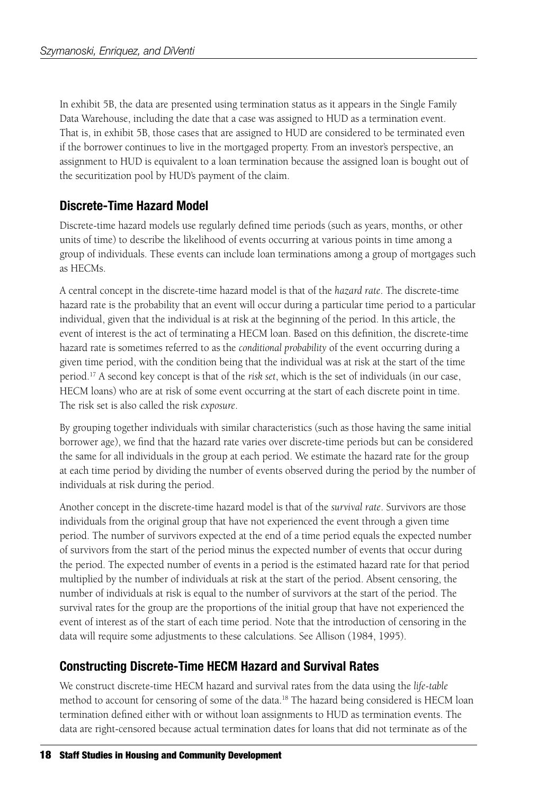In exhibit 5B, the data are presented using termination status as it appears in the Single Family Data Warehouse, including the date that a case was assigned to HUD as a termination event. That is, in exhibit 5B, those cases that are assigned to HUD are considered to be terminated even if the borrower continues to live in the mortgaged property. From an investor's perspective, an assignment to HUD is equivalent to a loan termination because the assigned loan is bought out of the securitization pool by HUD's payment of the claim.

## **Discrete-Time Hazard Model**

Discrete-time hazard models use regularly defined time periods (such as years, months, or other units of time) to describe the likelihood of events occurring at various points in time among a group of individuals. These events can include loan terminations among a group of mortgages such as HECMs.

A central concept in the discrete-time hazard model is that of the *hazard rate*. The discrete-time hazard rate is the probability that an event will occur during a particular time period to a particular individual, given that the individual is at risk at the beginning of the period. In this article, the event of interest is the act of terminating a HECM loan. Based on this definition, the discrete-time hazard rate is sometimes referred to as the *conditional probability* of the event occurring during a given time period, with the condition being that the individual was at risk at the start of the time period.17 A second key concept is that of the *risk set*, which is the set of individuals (in our case, HECM loans) who are at risk of some event occurring at the start of each discrete point in time. The risk set is also called the risk *exposure*.

By grouping together individuals with similar characteristics (such as those having the same initial borrower age), we find that the hazard rate varies over discrete-time periods but can be considered the same for all individuals in the group at each period. We estimate the hazard rate for the group at each time period by dividing the number of events observed during the period by the number of individuals at risk during the period.

Another concept in the discrete-time hazard model is that of the *survival rate*. Survivors are those individuals from the original group that have not experienced the event through a given time period. The number of survivors expected at the end of a time period equals the expected number of survivors from the start of the period minus the expected number of events that occur during the period. The expected number of events in a period is the estimated hazard rate for that period multiplied by the number of individuals at risk at the start of the period. Absent censoring, the number of individuals at risk is equal to the number of survivors at the start of the period. The survival rates for the group are the proportions of the initial group that have not experienced the event of interest as of the start of each time period. Note that the introduction of censoring in the data will require some adjustments to these calculations. See Allison (1984, 1995).

## **Constructing Discrete-Time HECM Hazard and Survival Rates**

We construct discrete-time HECM hazard and survival rates from the data using the *life-table*  method to account for censoring of some of the data.<sup>18</sup> The hazard being considered is HECM loan termination defined either with or without loan assignments to HUD as termination events. The data are right-censored because actual termination dates for loans that did not terminate as of the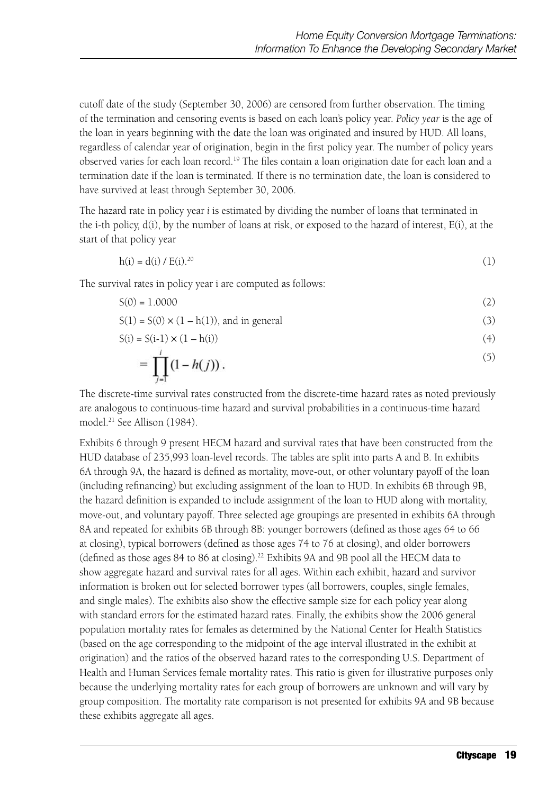cutoff date of the study (September 30, 2006) are censored from further observation. The timing of the termination and censoring events is based on each loan's policy year. *Policy year* is the age of the loan in years beginning with the date the loan was originated and insured by HUD. All loans, regardless of calendar year of origination, begin in the first policy year. The number of policy years observed varies for each loan record.19 The files contain a loan origination date for each loan and a termination date if the loan is terminated. If there is no termination date, the loan is considered to have survived at least through September 30, 2006.

The hazard rate in policy year *i* is estimated by dividing the number of loans that terminated in the i-th policy,  $d(i)$ , by the number of loans at risk, or exposed to the hazard of interest,  $E(i)$ , at the start of that policy year

$$
h(i) = d(i) / E(i).^{20}
$$
 (1)

The survival rates in policy year i are computed as follows:

$$
S(0) = 1.0000 \tag{2}
$$

$$
S(1) = S(0) \times (1 - h(1)), \text{ and in general}
$$
 (3)

$$
S(i) = S(i-1) \times (1 - h(i))
$$
\n<sup>(4)</sup>

$$
= \prod_{j=1}^{i} (1 - h(j)). \tag{5}
$$

The discrete-time survival rates constructed from the discrete-time hazard rates as noted previously are analogous to continuous-time hazard and survival probabilities in a continuous-time hazard model.21 See Allison (1984).

Exhibits 6 through 9 present HECM hazard and survival rates that have been constructed from the HUD database of 235,993 loan-level records. The tables are split into parts A and B. In exhibits 6A through 9A, the hazard is defined as mortality, move-out, or other voluntary payoff of the loan (including refinancing) but excluding assignment of the loan to HUD. In exhibits 6B through 9B, the hazard definition is expanded to include assignment of the loan to HUD along with mortality, move-out, and voluntary payoff. Three selected age groupings are presented in exhibits 6A through 8A and repeated for exhibits 6B through 8B: younger borrowers (defined as those ages 64 to 66 at closing), typical borrowers (defined as those ages 74 to 76 at closing), and older borrowers (defined as those ages 84 to 86 at closing).22 Exhibits 9A and 9B pool all the HECM data to show aggregate hazard and survival rates for all ages. Within each exhibit, hazard and survivor information is broken out for selected borrower types (all borrowers, couples, single females, and single males). The exhibits also show the effective sample size for each policy year along with standard errors for the estimated hazard rates. Finally, the exhibits show the 2006 general population mortality rates for females as determined by the National Center for Health Statistics (based on the age corresponding to the midpoint of the age interval illustrated in the exhibit at origination) and the ratios of the observed hazard rates to the corresponding U.S. Department of Health and Human Services female mortality rates. This ratio is given for illustrative purposes only because the underlying mortality rates for each group of borrowers are unknown and will vary by group composition. The mortality rate comparison is not presented for exhibits 9A and 9B because these exhibits aggregate all ages.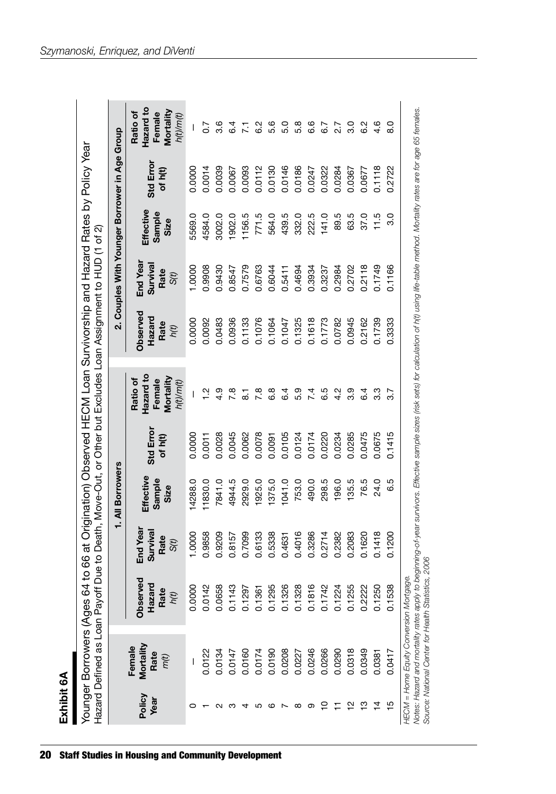| Ċ<br>ċ |  |
|--------|--|
| Ë<br>л |  |
|        |  |
|        |  |
|        |  |
|        |  |

|                |                                   |                                     |                                      | 1. All Borrowers            |                     |                                                           |                                           | 2. Couples With Younger Borrower in Age Group |                             |                      |                                                           |
|----------------|-----------------------------------|-------------------------------------|--------------------------------------|-----------------------------|---------------------|-----------------------------------------------------------|-------------------------------------------|-----------------------------------------------|-----------------------------|----------------------|-----------------------------------------------------------|
| Policy<br>Year | Mortality<br>Female<br>Rate<br>mĈ | Observed<br>Rate<br>Hazaro<br>$\mu$ | End Year<br>Survival<br>Rate<br>S(t) | Effective<br>Sample<br>Size | Std Erro<br>of h(t) | Hazard to<br>Mortality<br>Ratio of<br>Female<br>h(t)/m(t) | <b>Observed</b><br>Hazard<br>Rate<br>h(t) | End Year<br>Surviva<br>Rate<br>S(t)           | Effective<br>Sample<br>Size | Std Error<br>of h(t) | Hazard to<br>Mortality<br>Ratio of<br>Female<br>h(t)/m(t) |
|                |                                   | 0.0000                              | 1.0000                               | 4288.0                      | 0.0000              |                                                           | 0.0000                                    | 1.0000                                        | 5569.0                      | 0.0000               |                                                           |
|                | 0.0122                            | 0.0142                              | 0.9858                               | 11830.0                     | 0.0011              | $\frac{2}{1}$                                             | 0.0092                                    | 0.9908                                        | 4584.0                      | 0.0014               | C.D                                                       |
|                | 0.0134                            | 0.0658                              | 0.9209                               | 7841.0                      | 0.0028              | 4.9                                                       | 0.0483                                    | 0.9430                                        | 3002.0                      | 0.0039               | 3.6                                                       |
| ო              | 0.0147                            | 0.1143                              | 0.8157                               | 4944.5                      | 0.0045              | $\overline{7}$ .8                                         | 0.0936                                    | 0.8547                                        | 1902.0                      | 0.0067               | $6\dot{4}$                                                |
| 4              | 0.0160                            | 0.1297                              | 0.7099                               | 2929.0                      | 0.0062              | ~                                                         | 0.1133                                    | 0.7579                                        | 1156.5                      | 0.0093               |                                                           |
| ပ              | 0.0174                            | 0.1361                              | 0.6133                               | 1925.0                      | 0.0078              | 7.8                                                       | 0.1076                                    | 0.6763                                        | 771.5                       | 0.0112               | ဖ                                                         |
| ဖ              | 0.0190                            | 0.1295                              | 0.5338                               | 1375.0                      | 0.0091              | 6.8                                                       | 0.1064                                    | 0.6044                                        | 564.0                       | 0.0130               | ဖ<br>τò                                                   |
|                | 0.0208                            | 0.1326                              | 0.4631                               | 1041.0                      | 0.0105              | 6.4                                                       | 0.1047                                    | 0.5411                                        | 439.5                       | 0.0146               | ιó,                                                       |
| $\infty$       | 0.0227                            | 0.1328                              | 0.4016                               | 753.0                       | 0.0124              | 5.9                                                       | 0.1325                                    | 0.4694                                        | 332.0                       | 0.0186               | œ<br>ιó.                                                  |
| တ              | 0.0246                            | 0.1816                              | 0.3286                               | 490.0                       | 0.0174              | 74                                                        | 0.1618                                    | 0.3934                                        | 222.5                       | 0.0247               | ဖ<br>ဖ                                                    |
| င္             | 0.0266                            | 0.1742                              | 0.2714                               | 298.5                       | 0.0220              | 6.5                                                       | 0.1773                                    | 0.3237                                        | 141.0                       | 0.0322               | 6.7                                                       |
|                | 0.0290                            | 0.1224                              | 0.2382                               | 196.0                       | 0.0234              | 4.2                                                       | 0.0782                                    | 0.2984                                        | 89.5                        | 0.0284               |                                                           |
| $\frac{1}{2}$  | 0.0318                            | 0.1255                              | 0.2083                               | 135.5                       | 0.0285              | 3.9                                                       | 0.0945                                    | 0.2702                                        | 63.5                        | 0.0367               | ო                                                         |
| $\frac{8}{1}$  | 0.0349                            | 0.2222                              | 0.1620                               | 76.5                        | 0.0475              | 6.4                                                       | 0.2162                                    | 0.2118                                        | 37.0                        | 0.0677               | ∾<br>ဖ                                                    |
| $\frac{4}{4}$  | 0.0381                            | 0.1250                              | 0.1418                               | 24.0                        | 0.0675              | 33                                                        | 0.1739                                    | 0.1749                                        | 11.5                        | 0.1118               | ဖ<br>4.                                                   |
| $\frac{5}{1}$  | 0.0417                            | 0.1538                              | 0.1200                               | 6.5                         | 0.1415              |                                                           | 0.3333                                    | 0.1166                                        | 3.0                         | 0.2722               | 0<br>ထ                                                    |

20 Staff Studies in Housing and Community Development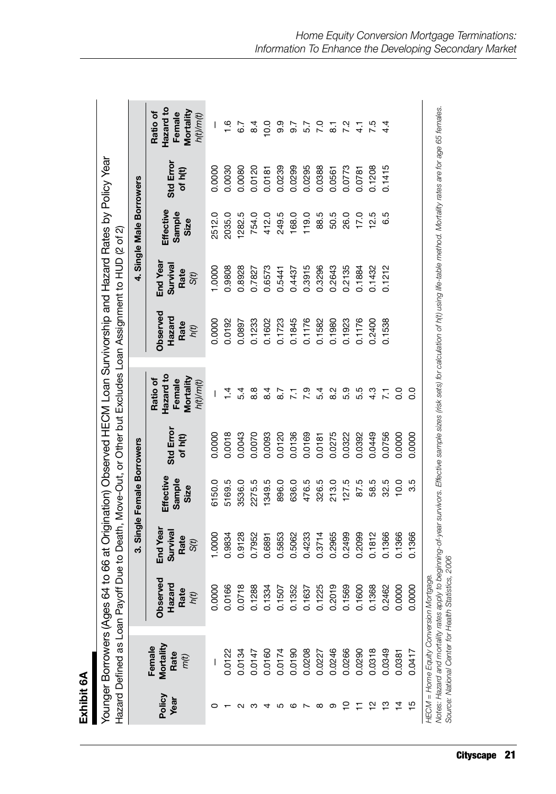| cċ |
|----|
|    |
|    |
| ≔  |
|    |
|    |
|    |
|    |
|    |
|    |
|    |
|    |

|                |                                                                                                                                |                                                |                                      | 3. Single Female Borrowers  |                      |                                                                                                                                                             |                                    |                                      | 4. Single Male Borrowers    |                     |                                                           |
|----------------|--------------------------------------------------------------------------------------------------------------------------------|------------------------------------------------|--------------------------------------|-----------------------------|----------------------|-------------------------------------------------------------------------------------------------------------------------------------------------------------|------------------------------------|--------------------------------------|-----------------------------|---------------------|-----------------------------------------------------------|
| Policy<br>Year | Mortality<br>Female<br>Rate<br>m(t)                                                                                            | yed<br>Hazard<br>Rate<br>hít)<br>Obser<br>Rate | End Year<br>Survival<br>Rate<br>S(t) | Effective<br>Sample<br>Size | Std Error<br>of h(t) | Hazard to<br>Mortality<br>Ratio of<br>Female<br>h(t)/m(t)                                                                                                   | Observed<br>Hazard<br>Rate<br>h(t) | End Year<br>Survival<br>Rate<br>S(t) | Effective<br>Sample<br>Size | Std Erro<br>of h(t) | Hazard to<br>Mortality<br>Ratio of<br>Female<br>h(t)/m(t) |
|                |                                                                                                                                | g<br>0.000                                     | 1.0000                               | 6150.0                      | 0.0000               | I                                                                                                                                                           | 0.0000                             | 1.0000                               | 2512.0                      | 0.0000              | I                                                         |
|                | 0.0122                                                                                                                         | 0.0166                                         | 0.9834                               | 5169.5                      | 0.0018               | $\frac{4}{1}$                                                                                                                                               | 0.0192                             | 0.9808                               | 2035.0                      | 0.0030              | $\frac{6}{1}$                                             |
|                | 0.0134                                                                                                                         | $\infty$<br>0.071                              | 0.9128                               | 3536.0                      | 0.0043               | 5.4                                                                                                                                                         | 0.0897                             | 0.8928                               | 1282.5                      | 0.0080              | 6.7                                                       |
|                | 0.0147                                                                                                                         | 0.1288                                         | 0.7952                               | 2275.5                      | 0.0070               | 8.8                                                                                                                                                         | 0.1233                             | 0.7827                               | 754.0                       | 0.0120              | $\frac{4}{3}$                                             |
|                | 0.0160                                                                                                                         | 0.1334                                         | 0.6891                               | 1349.5                      | 0.0093               | $\overline{8}.4$                                                                                                                                            | 0.1602                             | 0.6573                               | 412.0                       | 0.0181              | $\frac{0}{2}$                                             |
| 5              | 0.0174                                                                                                                         | 0.1507                                         | 0.5853                               | 896.0                       | 0.0120               | $\overline{8.7}$                                                                                                                                            | 0.1723                             | 0.5441                               | 249.5                       | 0.0239              | 9.9                                                       |
| ဖ              | 0.0190                                                                                                                         | 0.1352                                         | 0.5062                               | 636.0                       | 0.0136               | 7.1                                                                                                                                                         | 0.1845                             | 0.4437                               | 168.0                       | 0.0299              | 9.7                                                       |
|                | 0.0208                                                                                                                         | 0.1637                                         | 0.4233                               | 476.5                       | 0.0169               | 7.9                                                                                                                                                         | 0.1176                             | 0.3915                               | 119.0                       | 0.0295              | 5.7                                                       |
| ∞              | 0.0227                                                                                                                         | 0.1225                                         | 0.3714                               | 326.5                       | 0.0181               | 5.4                                                                                                                                                         | 0.1582                             | 0.3296                               | 88.5                        | 0.0388              | $\overline{7.0}$                                          |
| တ              | 0.0246                                                                                                                         | თ<br>0.201                                     | 0.2965                               | 213.0                       | 0.0275               | 8.2                                                                                                                                                         | 0.1980                             | 0.2643                               | 50.5                        | 0.0561              | $\overline{\mathbf{8}}$                                   |
| ₽              | 0.0266                                                                                                                         | 0.1569                                         | 0.2499                               | 127.5                       | 0.0322               | 5.9                                                                                                                                                         | 0.1923                             | 0.2135                               | 26.0                        | 0.0773              | 7.2                                                       |
|                | 0.0290                                                                                                                         | 0.1600                                         | 0.2099                               | 87.5                        | 0.0392               | 5.5                                                                                                                                                         | 0.1176                             | 0.1884                               | 17.0                        | 0.0781              | $\frac{1}{4}$                                             |
| 으              | 0.0318                                                                                                                         | 0.1368                                         | 0.1812                               | 58.5                        | 0.0449               | 4.3                                                                                                                                                         | 0.2400                             | 0.1432                               | 12.5                        | 0.1208              | 7.5                                                       |
| ဗု             | 0.0349                                                                                                                         | 0.2462                                         | 0.1366                               | 32.5                        | 0.0756               | $\overline{2}$                                                                                                                                              | 0.1538                             | 0.1212                               | 6.5                         | 0.1415              |                                                           |
| $\frac{4}{4}$  | 0.0381                                                                                                                         | 0.0000                                         | 0.1366                               | 10.0                        | 0.0000               | o.o                                                                                                                                                         |                                    |                                      |                             |                     |                                                           |
| $\frac{15}{2}$ | 0.0417                                                                                                                         | g<br>0.000                                     | 0.1366                               | 3.5                         | 0.0000               | O.O                                                                                                                                                         |                                    |                                      |                             |                     |                                                           |
|                | HECM = Home Equity Conversion Mortgage.<br>Source: National Center for Health Stati<br>Notes: Hazard and mortality rates apply | stics, 2006                                    |                                      |                             |                      | to beginning-of-year survivors. Effective sample sizes (risk sets) for calculation of h(t) using life-table method. Mortality rates are for age 65 females. |                                    |                                      |                             |                     |                                                           |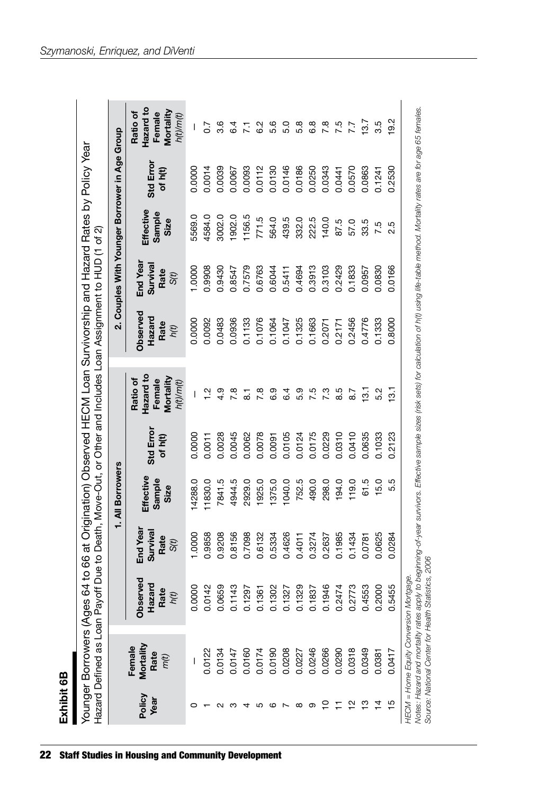| ſ<br>г  |  |
|---------|--|
| t<br>с  |  |
| ÷.<br>¢ |  |
|         |  |
|         |  |

|                |                                     | Younger Borrowers (Ages 64 to 66 at Origination) Observed HECM Loan Survivorship and Hazard Rates by Policy Year<br>Hazard Defined as Loan Payoff Due to Death, Move-Out, or Other and Includes Loan Assignment to HUD (1 of 2) |                                    |                             |                      |                                                           |                                    |                                               |                             |                      |                                                           |
|----------------|-------------------------------------|---------------------------------------------------------------------------------------------------------------------------------------------------------------------------------------------------------------------------------|------------------------------------|-----------------------------|----------------------|-----------------------------------------------------------|------------------------------------|-----------------------------------------------|-----------------------------|----------------------|-----------------------------------------------------------|
|                |                                     |                                                                                                                                                                                                                                 |                                    | 1. All Borrowers            |                      |                                                           |                                    | 2. Couples With Younger Borrower in Age Group |                             |                      |                                                           |
| Policy<br>Year | Mortality<br>Female<br>Rate<br>m(t) | Observed<br>Hazard<br>Rate<br>$h(t)$                                                                                                                                                                                            | End Yea<br>Surviva<br>Rate<br>S(t) | Effective<br>Sample<br>Size | Std Error<br>of h(t) | Hazard to<br>Mortality<br>Ratio of<br>Female<br>h(t)/m(t) | Observed<br>Hazard<br>Rate<br>h(t) | End Year<br>Survival<br>Rate<br>S(t)          | Effective<br>Sample<br>Size | Std Error<br>of h(t) | Hazard to<br>Mortality<br>Ratio of<br>Female<br>h(t)/m(t) |
|                |                                     | 0.0000                                                                                                                                                                                                                          | 1.0000                             | 4288.0                      | 0.0000               |                                                           | 0.0000                             | 1.0000                                        | 5569.0                      | 0.0000               |                                                           |
|                | 0.0122                              | 0.0142                                                                                                                                                                                                                          | 0.9858                             | 11830.0                     | 0.0011               | $\tilde{c}$                                               | 0.0092                             | 0.9908                                        | 4584.0                      | 0.0014               |                                                           |
|                | 0.0134                              | 0.0659                                                                                                                                                                                                                          | 0.9208                             | 7841.5                      | 0.0028               | 4.9                                                       | 0.0483                             | 0.9430                                        | 3002.0                      | 0.0039               | 3.6                                                       |
|                | 0.0147                              |                                                                                                                                                                                                                                 | 0.8156                             | 4944.5                      | 0.0045               | $\frac{8}{1}$                                             | 0.0936                             | 0.8547                                        | 1902.0                      | 0.0067               | 6.4                                                       |
|                | 0.0160                              | 0.1143<br>0.1297                                                                                                                                                                                                                | 0.7098                             | 2929.0                      | 0.0062               |                                                           | 0.1133                             | 0.7579                                        | 1156.5                      | 0.0093               |                                                           |
| ပ              | 0.0174                              | 0.1361                                                                                                                                                                                                                          | 0.6132                             | 1925.0                      | 0.0078               | $\overline{7}$ .8                                         | 0.1076                             | 0.6763                                        | 771.5                       | 0.0112               | 6.2                                                       |
| ဖ              | 0.0190                              | 0.1302<br>0.1327                                                                                                                                                                                                                | 0.5334                             | 1375.0                      | 0.0091               | 6.9                                                       | 0.1064                             | 0.6044                                        | 564.0                       | 0.0130               | 5.6                                                       |
|                | 0.0208                              |                                                                                                                                                                                                                                 | 0.4626                             | 1040.0                      | 0.0105               | $6\overline{4}$                                           | 0.1047                             | 0.5411                                        | 439.5                       | 0.0146               | 5.0                                                       |
| $\infty$       | 0.0227                              | 0.1329                                                                                                                                                                                                                          | 0.4011                             | 752.5                       | 0.0124               | 5.9                                                       | 0.1325                             | 0.4694                                        | 332.0                       | 0.0186               | 5.8                                                       |
| တ              | 0.0246                              | 0.1837                                                                                                                                                                                                                          | 0.3274                             | 490.0                       | 0.0175               | 7.5                                                       | 0.1663                             | 0.3913                                        | 222.5                       | 0.0250               | 6.8                                                       |
| °              | 0.0266                              | 0.1946                                                                                                                                                                                                                          | 0.2637                             | 298.0                       | 0.0229               | 7.3                                                       | 0.2071                             | 0.3103                                        | 140.0                       | 0.0343               | 7.8                                                       |
|                | 0.0290                              | 0.2474                                                                                                                                                                                                                          | 0.1985                             | 194.0                       | 0.0310               | 8.5                                                       | 0.2171                             | 0.2429                                        | 87.5                        | 0.0441               | 7.5                                                       |
| $\frac{1}{2}$  | 0.0318                              | 0.2773                                                                                                                                                                                                                          | 0.1434                             | 119.0                       | 0.0410               | 8.7                                                       | 0.2456                             | 0.1833                                        | 57.0                        | 0.0570               | 7.7                                                       |
| ဗ္             | 0.0349                              | 0.4553                                                                                                                                                                                                                          | 0.0781                             | 61.5                        | 0.0635               | 13.1                                                      | 0.4776                             | 0.0957                                        | 33.5                        | 0.0863               | 13.7                                                      |
|                | 0.0381                              | 0.2000                                                                                                                                                                                                                          | 0.0625                             | 15.0                        | 0.1033               |                                                           | 0.1333                             | 0.0830                                        | 7.5                         | 0.1241               | 3.5                                                       |
| ما             | 0.0417                              | 0.5455                                                                                                                                                                                                                          | 0.0284                             | 5.5                         | 0.2123               | $\frac{1}{2}$                                             | 0.8000                             | 0.0166                                        | 2.5                         | 0.2530               | 19.2                                                      |

*HECM = Home Equity Conversion Mortgage.*

*Notes: Hazard and mortality rates apply to beginning-of-year survivors. Effective sample sizes (risk sets) for calculation of h(t) using life-table method. Mortality rates are for age 65 females.*  HECM = Home Equity Conversion Mortgage.<br>Notes: Hazard and mortality rates apply to beginning-of-year survivors. Effective sample sizes (risk sets) for calculation of h(t) using life-table method. Mortality rates are for ag *Source: National Center for Health Statistics, 2006*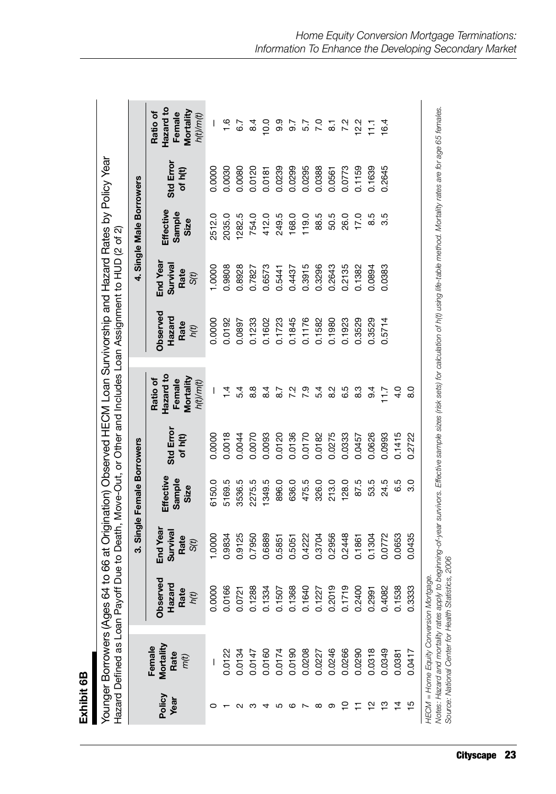| Œ |  |
|---|--|
|   |  |
| c |  |
|   |  |
| ÷ |  |
|   |  |
| Ξ |  |
|   |  |
|   |  |
|   |  |
|   |  |
|   |  |
|   |  |
|   |  |

| can Payoff Due to Death Move-Out or Other and Includes Loan Assignment to HUD (2 of 2)<br><b>KASSISTED III DI III DI III DI III DI III</b><br>light and the control of the control of the control of the control of the control of the control of the control of the control of the control of the control of the control of the control of the control of the control of th<br>l |
|-----------------------------------------------------------------------------------------------------------------------------------------------------------------------------------------------------------------------------------------------------------------------------------------------------------------------------------------------------------------------------------|
|                                                                                                                                                                                                                                                                                                                                                                                   |
|                                                                                                                                                                                                                                                                                                                                                                                   |
|                                                                                                                                                                                                                                                                                                                                                                                   |
| í                                                                                                                                                                                                                                                                                                                                                                                 |
|                                                                                                                                                                                                                                                                                                                                                                                   |
|                                                                                                                                                                                                                                                                                                                                                                                   |
|                                                                                                                                                                                                                                                                                                                                                                                   |

|                |                                                                                                                                 |                                        |                                      | 3. Single Female Borrowers  |                      |                                                                                                                                                             |                                    |                                     | 4. Single Male Borrowers    |                     |                                                           |
|----------------|---------------------------------------------------------------------------------------------------------------------------------|----------------------------------------|--------------------------------------|-----------------------------|----------------------|-------------------------------------------------------------------------------------------------------------------------------------------------------------|------------------------------------|-------------------------------------|-----------------------------|---------------------|-----------------------------------------------------------|
| Policy<br>Year | Mortality<br>Female<br>Rate<br>m(t)                                                                                             | ved<br>Hazard<br>Rate<br>h(t)<br>Obser | End Year<br>Survival<br>Rate<br>S(t) | Effective<br>Sample<br>Size | Std Error<br>of h(t) | Hazard to<br>Mortality<br>Ratio of<br>Female<br>h(t)/m(t)                                                                                                   | Observed<br>Hazard<br>Rate<br>h(t) | End Year<br>Surviva<br>Rate<br>S(t) | Effective<br>Sample<br>Size | Std Erro<br>of h(t) | Hazard to<br>Mortality<br>Ratio of<br>Female<br>h(t)/m(t) |
|                |                                                                                                                                 | ς<br>0.00                              | 1.0000                               | 6150.0                      | 0.0000               |                                                                                                                                                             | 0.0000                             | 1.0000                              | 2512.0                      | 0.0000              |                                                           |
|                | 0.0122                                                                                                                          | 0.0166                                 | 0.9834                               | 5169.5                      | 0.0018               | $\vec{r}$                                                                                                                                                   | 0.0192                             | 0.9808                              | 2035.0                      | 0.0030              | 1.6                                                       |
|                | 0.0134                                                                                                                          | 0.0721                                 | 0.9125                               | 3536.5                      | 0.0044               | 5.4                                                                                                                                                         | 0.0897                             | 0.8928                              | 1282.5                      | 0.0080              | 6.7                                                       |
|                | 0.0147                                                                                                                          | 0.1288                                 | 0.7950                               | 2275.5                      | 0.0070               | 8.8                                                                                                                                                         | 0.1233                             | 0.7827                              | 754.0                       | 0.0120              | 8.4                                                       |
|                | 0.0160                                                                                                                          | 0.1334                                 | 0.6889                               | 1349.5                      | 0.0093               | $\overline{8.4}$                                                                                                                                            | 0.1602                             | 0.6573                              | 412.0                       | 0.0181              | 0.0                                                       |
|                | 0.0174                                                                                                                          | 0.1507                                 | 0.5851                               | 896.0                       | 0.0120               | 8.7                                                                                                                                                         | 0.1723                             | 0.5441                              | 249.5                       | 0.0239              | 9.9                                                       |
|                | 0.0190                                                                                                                          | 0.1368                                 | 0.5051                               | 636.0                       | 0.0136               | 7.2                                                                                                                                                         | 0.1845                             | 0.4437                              | 168.0                       | 0.0299              | 9.7                                                       |
|                | 0.0208                                                                                                                          | 0.1640                                 | 0.4222                               | 475.5                       | 0.0170               | 7.9                                                                                                                                                         | 0.1176                             | 0.3915                              | 119.0                       | 0.0295              | 5.7                                                       |
| ∞              | 0.0227                                                                                                                          | 0.1227                                 | 0.3704                               | 326.0                       | 0.0182               | 5.4                                                                                                                                                         | 0.1582                             | 0.3296                              | 88.5                        | 0.0388              | 0.7                                                       |
| တ              | 0.0246                                                                                                                          | თ<br>0.201                             | 0.2956                               | 213.0                       | 0.0275               | $\frac{2}{8}$                                                                                                                                               | 0.1980                             | 0.2643                              | 50.5                        | 0.0561              | $\overline{8}$                                            |
|                | 0.0266                                                                                                                          | თ<br>0.171                             | 0.2448                               | 128.0                       | 0.0333               | 6.5                                                                                                                                                         | 0.1923                             | 0.2135                              | 26.0                        | 0.0773              | 7.2                                                       |
|                | 0.0290                                                                                                                          | 0.2400                                 | 0.1861                               | 87.5                        | 0.0457               | 8.3                                                                                                                                                         | 0.3529                             | 0.1382                              | 17.0                        | 0.1159              | 12.2                                                      |
| 으              | 0.0318                                                                                                                          | 0.299                                  | 0.1304                               | 53.5                        | 0.0626               | $9\overline{4}$                                                                                                                                             | 0.3529                             | 0.0894                              | 8.5                         | 0.1639              | $\overline{11}$                                           |
| ≌              | 0.0349                                                                                                                          | ñ<br>0.408                             | 0.0772                               | 24.5                        | 0.0993               | $\overline{1.7}$                                                                                                                                            | 0.5714                             | 0.0383                              | 3.5                         | 0.2645              | 16.4                                                      |
| $\frac{4}{4}$  | 0.0381                                                                                                                          | ஜ<br>0.153                             | 0.0653                               | 6.5                         | 0.1415               | $\frac{0}{4}$                                                                                                                                               |                                    |                                     |                             |                     |                                                           |
| $\frac{5}{1}$  | 0.0417                                                                                                                          | 0.3333                                 | 0.0435                               | 3.0                         | 0.2722               | $\frac{0}{8}$                                                                                                                                               |                                    |                                     |                             |                     |                                                           |
|                | HECM = Home Equity Conversion Mortgage.<br>Source: National Center for Health Stati.<br>Notes: Hazard and mortality rates apply | stics, 2006                            |                                      |                             |                      | to beginning-of-year survivors. Effective sample sizes (risk sets) for calculation of h(t) using life-table method. Mortality rates are for age 65 females. |                                    |                                     |                             |                     |                                                           |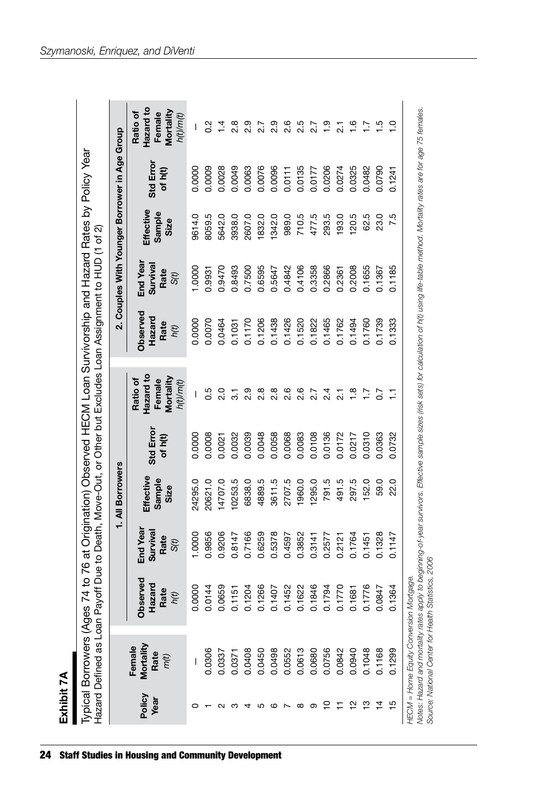| r      |  |
|--------|--|
| ĩ      |  |
| ţ<br>å |  |
|        |  |
|        |  |
|        |  |

|                |                                     |                                    |                                      | 1. All Borrowers            |                     |                                                           |                                    | 2. Couples With Younger Borrower in Age Group |                             |                     |                                                           |
|----------------|-------------------------------------|------------------------------------|--------------------------------------|-----------------------------|---------------------|-----------------------------------------------------------|------------------------------------|-----------------------------------------------|-----------------------------|---------------------|-----------------------------------------------------------|
| Policy<br>Year | Mortality<br>Female<br>Rate<br>m(t) | Observed<br>Hazard<br>Rate<br>h(t) | End Year<br>Survival<br>Rate<br>S(t) | Effective<br>Sample<br>Size | Std Erro<br>of h(t) | Hazard to<br>Mortality<br>Ratio of<br>Female<br>h(t)/m(t) | Observed<br>Hazard<br>Rate<br>h(t) | End Year<br>Surviva<br>Rate<br>S(t)           | Effective<br>Sample<br>Size | Std Erro<br>of h(t) | Hazard to<br>Mortality<br>Ratio of<br>Female<br>h(t)/m(t) |
|                |                                     | 0.0000                             | 1.0000                               | 24295.0                     | 0.0000              |                                                           | 0.0000                             | 1.0000                                        | 9614.0                      | 0.0000              |                                                           |
|                | 0.0306                              | 0.0144                             | 0.9856                               | 20621.0                     | 0.0008              | 0.5                                                       | 0.0070                             | 0.9931                                        | 8059.5                      | 0.0009              | $\frac{2}{5}$                                             |
|                | 0.0337                              | 0.0659                             | 0.9206                               | 14707.0                     | 0.0021              | $\frac{0}{2}$                                             | 0.0464                             | 0.9470                                        | 5642.0                      | 0.0028              | $\bar{4}$                                                 |
|                | 0.0371                              | 0.1151                             | 0.8147                               | 0253.5                      | 0.0032              | $\overline{3}$                                            | 0.1031                             | 0.8493                                        | 3938.0                      | 0.0049              | $\frac{8}{2}$                                             |
|                | 0.0408                              | 0.1204                             | 0.7166                               | 6838.0                      | 0.0039              | 2.9                                                       | 0.1170                             | 0.7500                                        | 2607.0                      | 0.0063              | 2.9                                                       |
| ပ              | 0.0450                              | 0.1266                             | 0.6259                               | 4889.5                      | 0.0048              | 2.8                                                       | 0.1206                             | 0.6595                                        | 1832.0                      | 0.0076              | 27                                                        |
| ဖ              | 0.0498                              | 0.1407                             | 0.5378                               | 3611.5                      | 0.0058              | $\frac{8}{2}$                                             | 0.1438                             | 0.5647                                        | 1342.0                      | 0.0096              | 2.9                                                       |
|                | 0.0552                              | 0.1452                             | 0.4597                               | 2707.5                      | 0.0068              | 2.6                                                       | 0.1426                             | 0.4842                                        | 989.0                       | 0.0111              | 2.6                                                       |
| ∞              | 0.0613                              | 0.1622                             | 0.3852                               | 1960.0                      | 0.0083              | 2.6                                                       | 0.1520                             | 0.4106                                        | 710.5                       | 0.0135              | 2.5                                                       |
| စာ             | 0.0680                              | 0.1846                             | 0.3141                               | 1295.0                      | 0.0108              | 2.7                                                       | 0.1822                             | 0.3358                                        | 477.5                       | 0.0177              | 2.7                                                       |
| <u>ب</u>       | 0.0756                              | 0.1794                             | 0.2577                               | 791.5                       | 0.0136              | $^{2.4}$                                                  | 0.1465                             | 0.2866                                        | 293.5                       | 0.0206              | $\frac{0}{1}$                                             |
|                | 0.0842                              | 0.1770                             | 0.2121                               | 491.5                       | 0.0172              | $\overline{21}$                                           | 0.1762                             | 0.2361                                        | <b>93.0</b>                 | 0.0274              | 7ء<br>ا                                                   |
| $\frac{1}{2}$  | 0.0940                              | 0.1681                             | 0.1764                               | 297.5                       | 0.0217              | $\frac{8}{1}$                                             | 0.1494                             | 0.2008                                        | <b>120.5</b>                | 0.0325              | $\frac{6}{1}$                                             |
| င္             | 0.1048                              | 0.1776                             | 0.1451                               | 152.0                       | 0.0310              | Γŀ                                                        | 0.1760                             | 0.1655                                        | 62.5                        | 0.0482              |                                                           |
| $\frac{4}{4}$  | 0.1168                              | 0.0847                             | 0.1328                               | 59.0                        | 0.0363              | 5°                                                        | 0.1739                             | 0.1367                                        | 23.0                        | 0.0790              | $\frac{5}{1}$                                             |
| $\frac{5}{1}$  | 0.1299                              | 0.1364                             | 0.1147                               | 22.0                        | 0.0732              | Ξ                                                         | 0.1333                             | 0.1185                                        | 7.5                         | 0.1241              | P                                                         |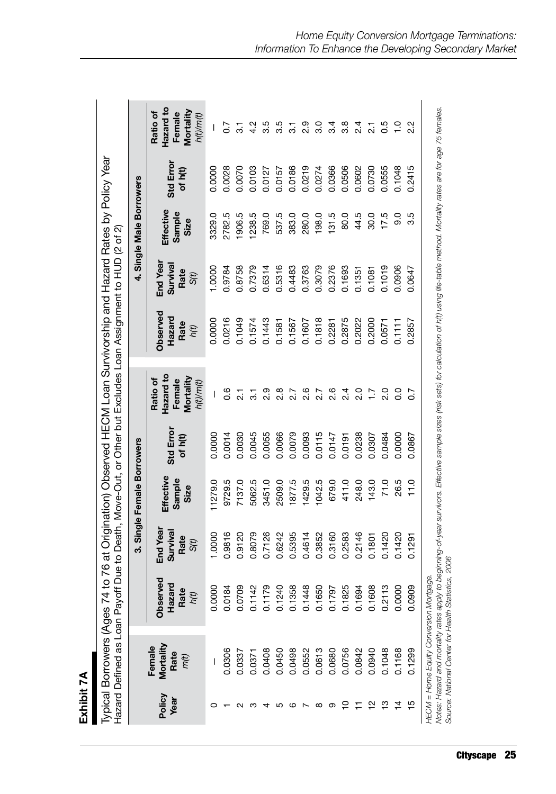| E      |
|--------|
|        |
| ╘<br>å |
|        |
|        |
|        |
|        |
|        |

| $\frac{1}{2}$<br>$\frac{1}{2}$<br>(Ages 74 to 76 at Origination) Observed HECM Loan Survivorship and Hazard Rates by P | コリコン<br>どうこ ココム                |
|------------------------------------------------------------------------------------------------------------------------|--------------------------------|
|                                                                                                                        | - nit Hxclindes   nan Assimmer |
|                                                                                                                        | ・うとさ さ きこ                      |
|                                                                                                                        | ì<br>a<br>Rec<br>l             |

|                |                                                                                    |                                                     |                                      | 3. Single Female Borrowers  |                      |                                                                                                                                                             |                                    |                                      | 4. Single Male Borrowers    |                      |                                                           |
|----------------|------------------------------------------------------------------------------------|-----------------------------------------------------|--------------------------------------|-----------------------------|----------------------|-------------------------------------------------------------------------------------------------------------------------------------------------------------|------------------------------------|--------------------------------------|-----------------------------|----------------------|-----------------------------------------------------------|
| Policy<br>Year | Mortality<br>Female<br>Rate<br>m(t)                                                | Observed<br>Hazard<br>Rate<br>h(t)                  | End Year<br>Survival<br>Rate<br>S(t) | Effective<br>Sample<br>Size | Std Error<br>of h(t) | Hazard to<br>Mortality<br>Ratio of<br>Female<br>h(t)/m(t)                                                                                                   | Observed<br>Hazard<br>Rate<br>h(t) | End Year<br>Survival<br>Rate<br>S(t) | Effective<br>Sample<br>Size | Std Error<br>of h(t) | Hazard to<br>Mortality<br>Ratio of<br>Female<br>h(t)/m(t) |
|                |                                                                                    | ∘<br>0.000                                          | 1.0000                               | 1279.0                      | 0.0000               | I                                                                                                                                                           | 0.0000                             | 1.0000                               | 3329.0                      | 0.0000               |                                                           |
|                | 0.0306                                                                             | 0.0184                                              | 0.9816                               | 9729.5                      | 0.0014               | 0.6                                                                                                                                                         | 0.0216                             | 0.9784                               | 2782.5                      | 0.0028               | $\overline{0}$ .                                          |
|                | 0.0337                                                                             | ൭<br>0.070                                          | 0.9120                               | 7137.0                      | 0.0030               |                                                                                                                                                             | 0.1049                             | 0.8758                               | 1906.5                      | 0.0070               |                                                           |
|                | 0.0371                                                                             | Ņ<br>0.114                                          | 0.8079                               | 5062.5                      | 0.0045               |                                                                                                                                                             | 0.1574                             | 0.7379                               | 1238.5                      | 0.0103               | 4.2                                                       |
|                | 0.0408                                                                             | ത<br>0.117                                          | 0.7126                               | 3451.0                      | 0.0055               |                                                                                                                                                             | 0.1443                             | 0.6314                               | 769.0                       | 0.0127               | 3.5                                                       |
|                | 0.0450                                                                             | 0<br>0.124                                          | 0.6242                               | 2509.0                      | 0.0066               | $\frac{8}{2}$                                                                                                                                               | 0.1581                             | 0.5316                               | 537.5                       | 0.0157               | 3.5                                                       |
| ဖ              | 0.0498                                                                             | $\infty$<br>0.135                                   | 0.5395                               | 1877.5                      | 0.0079               |                                                                                                                                                             | 0.1567                             | 0.4483                               | 383.0                       | 0.0186               | $\overline{3}$                                            |
|                | 0.0552                                                                             | œ<br>0.144                                          | 0.4614                               | 1429.5                      | 0.0093               | 2.6                                                                                                                                                         | 0.1607                             | 0.3763                               | 280.0                       | 0.0219               | 2.9                                                       |
| $^\infty$      | 0.0613                                                                             | 0.1650                                              | 0.3852                               | 1042.5                      | 0.0115               | 2.7                                                                                                                                                         | 0.1818                             | 0.3079                               | 198.0                       | 0.0274               | 3.0                                                       |
| တ              | 0.0680                                                                             | Ŋ<br>0.179                                          | 0.3160                               | 679.0                       | 0.0147               | 2.6                                                                                                                                                         | 0.2281                             | 0.2376                               | 131.5                       | 0.0366               | 3.4                                                       |
| ₽              | 0.0756                                                                             | Τö<br>0.182                                         | 0.2583                               | 411.0                       | 0.0191               | 2.4                                                                                                                                                         | 0.2875                             | 0.1693                               | 80.0                        | 0.0506               | $3.\overline{8}$                                          |
|                | 0.0842                                                                             | 4<br>0.169                                          | 0.2146                               | 248.0                       | 0.0238               | 2.0                                                                                                                                                         | 0.2022                             | 0.1351                               | 44.5                        | 0.0602               | 2.4                                                       |
| 은              | 0.0940                                                                             | $\infty$<br>0.160                                   | 0.1801                               | 143.0                       | 0.0307               | $\overline{1}$ .                                                                                                                                            | 0.2000                             | 0.1081                               | 30.0                        | 0.0730               | $\overline{2}$                                            |
| ≌              | 0.1048                                                                             | ო<br>0.211                                          | 0.1420                               | 71.0                        | 0.0484               | $\frac{0}{2}$                                                                                                                                               | 0.0571                             | 0.1019                               | 17.5                        | 0.0555               | <b>6.5</b>                                                |
| 4              | 0.1168                                                                             | $\circ$<br>0.00C                                    | 0.1420                               | 26.5                        | 0.0000               | o.o                                                                                                                                                         | 0.1111                             | 0.0906                               | 0.6                         | 0.1048               | $\frac{1}{2}$                                             |
| 15             | 0.1299                                                                             | $\mathbf{Q}$<br>0.09C                               | 0.1291                               | 11.0                        | 0.0867               |                                                                                                                                                             | 0.2857                             | 0.0647                               | 3.5                         | 0.2415               | $2.\overline{2}$                                          |
|                | HECM = Home Equity Conversion Mortgage.<br>Notes: Hazard and mortality rates apply | Source: National Center for Health Statistics, 2006 |                                      |                             |                      | to beginning-of-year survivors. Effective sample sizes (risk sets) for calculation of h(t) using life-table method. Mortality rates are for age 75 females. |                                    |                                      |                             |                      |                                                           |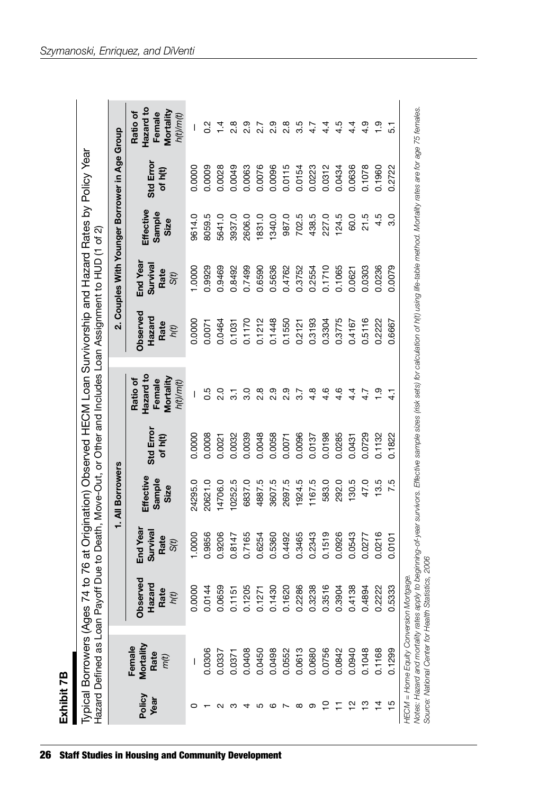| r<br>г |  |
|--------|--|
| I      |  |
| ÷.     |  |
| c      |  |
|        |  |
|        |  |
|        |  |

|                |                                     |                                    |                                                 | 1. All Borrowers            |                      |                                                           |                                    | 2. Couples With Younger Borrower in Age Group    |                             |                      |                                                           |
|----------------|-------------------------------------|------------------------------------|-------------------------------------------------|-----------------------------|----------------------|-----------------------------------------------------------|------------------------------------|--------------------------------------------------|-----------------------------|----------------------|-----------------------------------------------------------|
| Policy<br>Year | Mortality<br>Female<br>Rate<br>m(t) | Observed<br>Hazard<br>Rate<br>h(t) | End Yea<br>Survival<br>Rate<br>S <sub>(t)</sub> | Effective<br>Sample<br>Size | Std Error<br>of h(t) | Hazard to<br>Mortality<br>Ratio of<br>Female<br>h(t)/m(t) | Observed<br>Hazard<br>Rate<br>h(t) | End Year<br>Survival<br>Rate<br>S <sub>(t)</sub> | Effective<br>Sample<br>Size | Std Error<br>of h(t) | Hazard to<br>Mortality<br>Ratio of<br>Female<br>h(t)/m(t) |
|                |                                     | 0.0000                             | 0000                                            | 24295.0                     | 0.0000               | I                                                         | 0.0000                             | 1.0000                                           | 9614.0                      | 0.0000               | I                                                         |
|                | 0.0306                              | 0.0144                             | 0.9856                                          | 20621.0                     | 0.0008               | 0.5                                                       | 0.0071                             | 0.9929                                           | 8059.5                      | 0.0009               | $\frac{2}{5}$                                             |
|                | 0.0337                              | 0.0659                             | 0.9206                                          | 4706.0                      | 0.0021               | 2.0                                                       | 0.0464                             | 0.9469                                           | 5641.0                      | 0.0028               | $\bar{4}$                                                 |
|                | 0.0371                              | 0.1151                             | 0.8147                                          | 0252.5                      | 0.0032               | $\overline{3}$                                            | 0.1031                             | 0.8492                                           | 3937.0                      | 0.0049               | $\frac{8}{2}$                                             |
|                | 0.0408                              | 0.1205                             | 0.7165                                          | 6837.0                      | 0.0039               | 3.0                                                       | 0.1170                             | 0.7499                                           | 2606.0                      | 0.0063               | 2.9                                                       |
|                | 0.0450                              | 0.1271                             | 0.6254                                          | 4887.5                      | 0.0048               | 2.8                                                       | 0.1212                             | 0.6590                                           | 1831.0                      | 0.0076               | 2.7                                                       |
|                | 0.0498                              | 0.1430                             | 0.5360                                          | 3607.5                      | 0.0058               | 2.9                                                       | 0.1448                             | 0.5636                                           | 1340.0                      | 0.0096               | 2.9                                                       |
|                | 0.0552                              | 0.1620                             | 0.4492                                          | 2697.5                      | 0.0071               | 2.9                                                       | 0.1550                             | 0.4762                                           | 987.0                       | 0.0115               | $\frac{8}{2}$                                             |
|                | 0.0613                              | 0.2286                             | 0.3465                                          | 1924.5                      | 0.0096               | 3.7                                                       | 0.2121                             | 0.3752                                           | 702.5                       | 0.0154               | 3.5                                                       |
|                | 0.0680                              | 0.3238                             | 0.2343                                          | 1167.5                      | 0.0137               | $4.\overline{8}$                                          | 0.3193                             | 0.2554                                           | 438.5                       | 0.0223               | 4.7                                                       |
| ۽              | 0.0756                              | 0.3516                             | 0.1519                                          | 583.0                       | 0.0198               | 4.6                                                       | 0.3304                             | 0.1710                                           | 227.0                       | 0.0312               | $\frac{4}{4}$                                             |
|                | 0.0842                              | 0.3904                             | 0.0926                                          | 292.0                       | 0.0285               | $4.\overline{6}$                                          | 0.3775                             | 0.1065                                           | 124.5                       | 0.0434               | 4.5                                                       |
| $\frac{1}{2}$  | 0.0940                              | 0.4138                             | 0.0543                                          | 130.5                       | 0.0431               | $4\cdot$                                                  | 0.4167                             | 0.0621                                           | 60.0                        | 0.0636               | $4\cdot$                                                  |
| $\frac{8}{1}$  | 0.1048                              | 0.4894                             | 0.0277                                          | 47.0                        | 0.0729               | 4.7                                                       | 0.5116                             | 0.0303                                           | 21.5                        | 0.1078               | 4.9                                                       |
| $\overline{4}$ | 0.1168                              | 0.2222                             | 0.0216                                          | 13.5                        | 0.1132               | $\frac{5}{1}$                                             | 0.2222                             | 0.0236                                           | 4.5                         | 0.1960               | $\frac{9}{1}$                                             |
| $\frac{5}{1}$  | 0.1299                              | 0.5333                             | 0.0101                                          | 7.5                         | 0.1822               | $\frac{1}{4}$                                             | 0.6667                             | 0.0079                                           | $\frac{0}{3}$               | 0.2722               | 5.1                                                       |

*Szymanoski, Enriquez, and DiVenti*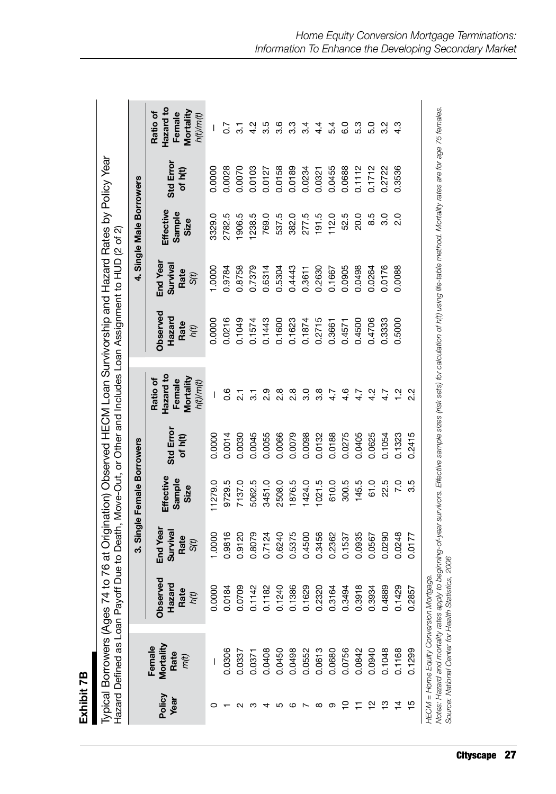| ٠ |
|---|
|   |
|   |
|   |

|                |                                                                                                                                           |                                    |                                                  | 3. Single Female Borrowers  |                      |                                                           |                                                                                                                                                             |                                      | 4. Single Male Borrowers    |                      |                                                           |
|----------------|-------------------------------------------------------------------------------------------------------------------------------------------|------------------------------------|--------------------------------------------------|-----------------------------|----------------------|-----------------------------------------------------------|-------------------------------------------------------------------------------------------------------------------------------------------------------------|--------------------------------------|-----------------------------|----------------------|-----------------------------------------------------------|
| Policy<br>Year | Mortality<br>Female<br>Rate<br>m(t)                                                                                                       | Observed<br>Hazard<br>Rate<br>h(t) | End Year<br>Survival<br>Rate<br>S <sub>(t)</sub> | Effective<br>Sample<br>Size | Std Error<br>of h(t) | Hazard to<br>Mortality<br>Ratio of<br>Female<br>h(t)/m(t) | Observed<br>Hazard<br>Rate<br>h(t)                                                                                                                          | End Year<br>Survival<br>Rate<br>S(t) | Effective<br>Sample<br>Size | Std Error<br>of h(t) | Hazard to<br>Mortality<br>Ratio of<br>Female<br>h(t)/m(t) |
|                |                                                                                                                                           | 0.0000                             | 1.0000                                           | 1279.0                      | 0.0000               | I                                                         | 0.0000                                                                                                                                                      | 1.0000                               | 3329.0                      | 0.0000               | I                                                         |
|                | 0.0306                                                                                                                                    | 0.0184                             | 0.9816                                           | 9729.5                      | 0.0014               | o.c                                                       | 0.0216                                                                                                                                                      | 0.9784                               | 2782.5                      | 0.0028               | $\overline{0}$ .7                                         |
|                | 0.0337                                                                                                                                    | 0.0709                             | 0.9120                                           | 7137.0                      | 0.0030               | $\overline{2}$                                            | 0.1049                                                                                                                                                      | 0.8758                               | 1906.5                      | 0.0070               | $\overline{3}$                                            |
| ∞              | 0.0371                                                                                                                                    | 0.1142                             | 0.8079                                           | 5062.5                      | 0.0045               | 5.1                                                       | 0.1574                                                                                                                                                      | 0.7379                               | 1238.5                      | 0.0103               | $\frac{2}{4}$                                             |
|                | 0.0408                                                                                                                                    | 0.1182                             | 0.7124                                           | 3451.0                      | 0.0055               | $\frac{9}{2}$                                             | 0.1443                                                                                                                                                      | 0.6314                               | 769.0                       | 0.0127               | 3.5                                                       |
| ပ              | 0.0450                                                                                                                                    | 0.1240                             | 0.6240                                           | 2508.0                      | 0.0066               | $\frac{8}{2}$                                             | 0.1600                                                                                                                                                      | 0.5304                               | 537.5                       | 0.0158               | 3.6                                                       |
| ဖ              | 0.0498                                                                                                                                    | 0.1386                             | 0.5375                                           | 1876.5                      | 0.0079               | $\frac{8}{2}$                                             | 0.1623                                                                                                                                                      | 0.4443                               | 382.0                       | 0.0189               | 3.3                                                       |
|                | 0.0552                                                                                                                                    | 0.1629                             | 0.4500                                           | 1424.0                      | 0.0098               | 3.0                                                       | 0.1874                                                                                                                                                      | 0.3611                               | 277.5                       | 0.0234               | 3.4                                                       |
| ∞              | 0.0613                                                                                                                                    | 0.2320                             | 0.3456                                           | 1021.5                      | 0.0132               | $3.\overline{8}$                                          | 0.2715                                                                                                                                                      | 0.2630                               | 191.5                       | 0.0321               | 4.4                                                       |
| တ              | 0.0680                                                                                                                                    | 0.3164                             | 0.2362                                           | 610.0                       | 0.0188               | 4.7                                                       | 0.3661                                                                                                                                                      | 0.1667                               | 112.0                       | 0.0455               | 5.4                                                       |
|                | 0.0756                                                                                                                                    | 0.3494                             | 0.1537                                           | 300.5                       | 0.0275               | 4.6                                                       | 0.4571                                                                                                                                                      | 0.0905                               | 52.5                        | 0.0688               | 6.0                                                       |
|                | 0.0842                                                                                                                                    | $\infty$<br>0.391                  | 0.0935                                           | 145.5                       | 0.0405               | 4.7                                                       | 0.4500                                                                                                                                                      | 0.0498                               | 20.0                        | 0.1112               | 5.3                                                       |
| 으              | 0.0940                                                                                                                                    | 4<br>0.393                         | 0.0567                                           | 61.0                        | 0.0625               | 4.2                                                       | 0.4706                                                                                                                                                      | 0.0264                               | 8.5                         | 0.1712               | 5.0                                                       |
| ≌              | 0.1048                                                                                                                                    | တ<br>0.488                         | 0.0290                                           | 22.5                        | 0.1054               | 4.7                                                       | 0.3333                                                                                                                                                      | 0.0176                               | 3.0                         | 0.2722               | 3.2                                                       |
| $\overline{4}$ | 0.1168                                                                                                                                    | ၜ<br>0.142                         | 0.0248                                           | $\overline{7.0}$            | 0.1323               | $\frac{2}{1}$                                             | 0.5000                                                                                                                                                      | 0.0088                               | 2.0                         | 0.3536               | 4.3                                                       |
| 15             | 0.1299                                                                                                                                    | 0.2857                             | 0.0177                                           | 3.5                         | 0.2415               | 2.2                                                       |                                                                                                                                                             |                                      |                             |                      |                                                           |
|                | Source: National Center for Health Statistics, 2006<br>HECM = Home Equity Conversion Mortgage.<br>Notes: Hazard and mortality rates apply |                                    |                                                  |                             |                      |                                                           | to beginning-of-year survivors. Effective sample sizes (risk sets) for calculation of h(t) using life-table method. Mortality rates are for age 75 females. |                                      |                             |                      |                                                           |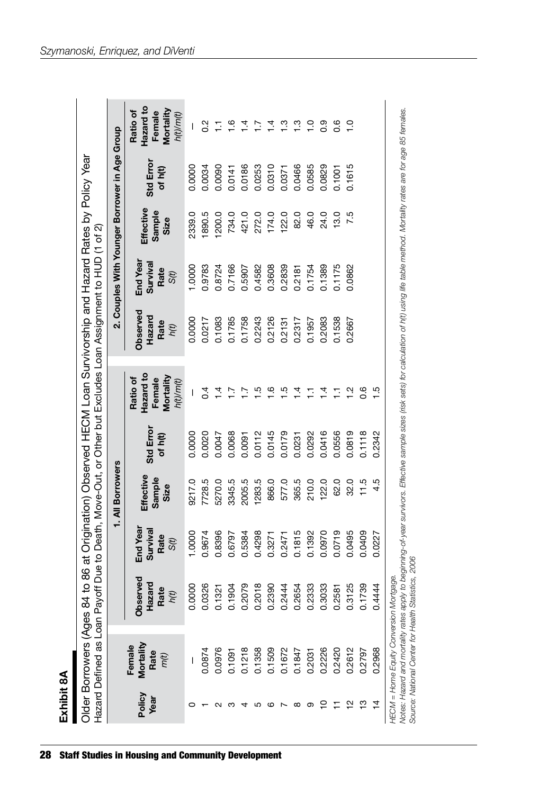| ā |
|---|
|   |
|   |
|   |

|                                                     |                                         |                                                                                                                                                                                                     |                                      | 1. All Borrowers            |                      |                                                           |                                    | 2. Couples With Younger Borrower in Age Group |                             |                      |                                                           |
|-----------------------------------------------------|-----------------------------------------|-----------------------------------------------------------------------------------------------------------------------------------------------------------------------------------------------------|--------------------------------------|-----------------------------|----------------------|-----------------------------------------------------------|------------------------------------|-----------------------------------------------|-----------------------------|----------------------|-----------------------------------------------------------|
| Policy<br>Year                                      | Mortality<br>Female<br>Rate<br>m(t)     | Observed<br>Hazard<br>Rate<br>h(t)                                                                                                                                                                  | End Year<br>Survival<br>Rate<br>S(t) | Effective<br>Sample<br>Size | Std Error<br>of h(t) | Hazard to<br>Mortality<br>Female<br>Ratio of<br>h(t)/m(t) | Observed<br>Hazard<br>Rate<br>h(t) | End Year<br>Survival<br>Rate<br>S(t)          | Effective<br>Sample<br>Size | Std Error<br>of h(t) | Hazard to<br>Mortality<br>Ratio of<br>Female<br>h(t)/m(t) |
|                                                     |                                         | 0.0000                                                                                                                                                                                              | 1.0000                               | 9217.0                      | 0.0000               | I                                                         | 0.0000                             | 1.0000                                        | 2339.0                      | 0.0000               | I                                                         |
|                                                     | 0.0874                                  | 0.0326                                                                                                                                                                                              | 0.9674                               | 7728.5                      | 0.0020               | $\overline{0}$ .                                          | 0.0217                             | 0.9783                                        | 890.5                       | 0.0034               | $\frac{2}{3}$                                             |
|                                                     | 0.0976                                  | 0.1321                                                                                                                                                                                              | 0.8396                               | 5270.0                      | 0.0047               | $\frac{4}{1}$                                             | 0.1083                             | 0.8724                                        | 200.0                       | 0.0090               | Ξ                                                         |
|                                                     | 0.1091                                  | 0.1904                                                                                                                                                                                              | 0.6797                               | 3345.5                      | 0.0068               | $\overline{1}$                                            | 0.1785                             | 0.7166                                        | 734.0                       | 0.0141               | $\overset{\circ}{-}$                                      |
| ⅎ                                                   | 0.1218                                  | 0.2079                                                                                                                                                                                              | 0.5384                               | 2005.5                      | 0.0091               | $\sum_{i=1}^{n}$                                          | 0.1758                             | 0.5907                                        | 421.0                       | 0.0186               | 4.                                                        |
| ഥ                                                   | 0.1358                                  | ${}^{\circ}$<br>0.201                                                                                                                                                                               | 0.4298                               | 1283.5                      | 0.0112               | $\overline{5}$                                            | 0.2243                             | 0.4582                                        | 272.0                       | 0.0253               | $\overline{a}$                                            |
| ဖ                                                   | 0.1509                                  | 0.2390                                                                                                                                                                                              | 0.3271                               | 866.0                       | 0.0145               | $\frac{6}{1}$                                             | 0.2126                             | 0.3608                                        | 174.0                       | 0.0310               | $\bar{4}$                                                 |
|                                                     | 0.1672                                  | 0.2444                                                                                                                                                                                              | 0.2471                               | 577.0                       | 0.0179               | $\frac{5}{1}$                                             | 0.2131                             | 0.2839                                        | 122.0                       | 0.0371               | <u>ო</u>                                                  |
| ∞                                                   | 0.1847                                  | 0.2654                                                                                                                                                                                              | 0.1815                               | 365.5                       | 0.0231               | $\frac{4}{1}$                                             | 0.2317                             | 0.2181                                        | 82.0                        | 0.0466               | $\frac{3}{1}$                                             |
| တ                                                   | 0.2031                                  | 0.2333                                                                                                                                                                                              | 0.1392                               | 210.0                       | 0.0292               | Ξ                                                         | 0.1957                             | 0.1754                                        | 46.0                        | 0.0585               | $\frac{0}{1}$                                             |
| ₽                                                   | 0.2226                                  | 0.3033<br>0.2581                                                                                                                                                                                    | 0.0970                               | 122.0                       | 0.0416               | $\frac{4}{1}$                                             | 0.2083                             | 0.1389                                        | 24.0                        | 0.0829               | 0.9                                                       |
|                                                     | 0.2420                                  |                                                                                                                                                                                                     | 0.0719                               | 62.0                        | 0.0556               | Ξ                                                         | 0.1538                             | 0.1175                                        | 13.0                        | 0.1001               | $0.\overline{6}$                                          |
|                                                     | 0.2612                                  | 0.3125<br>0.1739                                                                                                                                                                                    | 0.0495                               | 32.0                        | 0.0819               | $\overline{a}$                                            | 0.2667                             | 0.0862                                        | 7.5                         | 0.1615               | $\frac{0}{1}$                                             |
| ဗူ                                                  | 0.2797                                  |                                                                                                                                                                                                     | 0.0409                               | 11.5                        | 0.1118               | 0.6                                                       |                                    |                                               |                             |                      |                                                           |
| Ż,                                                  | 0.2968                                  | 0.4444                                                                                                                                                                                              | 0.0227                               | 4.5                         | 0.2342               | $\frac{5}{1}$                                             |                                    |                                               |                             |                      |                                                           |
| Source: National Center for Health Statistics, 2006 | HECM = Home Equity Conversion Mortgage. | Notes: Hazard and mortality rates apply to beginning-of-year survivors. Effective sample sizes (risk sets) for calculation of h(t) using life table method. Mortality rates are for age 85 females. |                                      |                             |                      |                                                           |                                    |                                               |                             |                      |                                                           |

28 Staff Studies in Housing and Community Development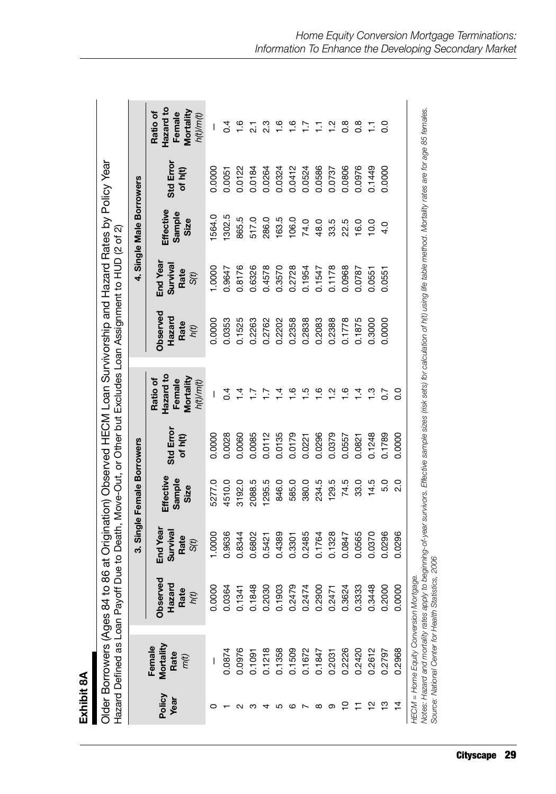| Ē |
|---|
|   |
| Ė |
|   |
|   |
|   |
|   |
|   |
|   |

| ges 84 to 86 at Origination) Observed HECM Loan Survivorship and Hazard Rates by Policy Year |
|----------------------------------------------------------------------------------------------|
| oan Payoff Due to Death, Move-Out, or Other but Excludes Loan Assignment to HUD (2 of 2)     |

|                |                                     |                                                                                                                                                                                                                                                                                                        |                                    | 3. Single Female Borrowers  |                      |                                                           |                                           |                                      | 4. Single Male Borrowers    |                      |                                                           |
|----------------|-------------------------------------|--------------------------------------------------------------------------------------------------------------------------------------------------------------------------------------------------------------------------------------------------------------------------------------------------------|------------------------------------|-----------------------------|----------------------|-----------------------------------------------------------|-------------------------------------------|--------------------------------------|-----------------------------|----------------------|-----------------------------------------------------------|
| Policy<br>Year | Mortality<br>Female<br>Rate<br>m(t) | ē,<br>Hazard<br>Rate<br>Observ<br>h(t)                                                                                                                                                                                                                                                                 | End Yea<br>Surviva<br>Rate<br>S(t) | Effective<br>Sample<br>Size | Std Error<br>of h(t) | Hazard to<br>Mortality<br>Ratio of<br>Female<br>h(t)/m(t) | <b>Observed</b><br>Hazard<br>Rate<br>h(t) | End Year<br>Survival<br>Rate<br>S(t) | Effective<br>Sample<br>Size | Std Error<br>of h(t) | Hazard to<br>Mortality<br>Ratio of<br>Female<br>h(t)/m(t) |
|                |                                     | 0.0000                                                                                                                                                                                                                                                                                                 | 1.0000                             | 5277.0                      | 0.0000               |                                                           | 0.0000                                    | 0000.                                | 564.0                       | 0.0000               | I                                                         |
|                | 0.0874                              | 0.0364                                                                                                                                                                                                                                                                                                 | 0.9636                             | 4510.0                      | 0.0028               | $\mathsf{C}^4$                                            | 0.0353                                    | 0.9647                               | 1302.5                      | 0.0051               | $\mathsf{C}^4$                                            |
|                | 0.0976                              | 0.134                                                                                                                                                                                                                                                                                                  | 0.8344                             | 3192.0                      | 0.0060               | $\vec{4}$                                                 | 0.1525                                    | 0.8176                               | 865.5                       | 0.0122               | $\frac{6}{1}$                                             |
| ო              | 0.1091                              | $\infty$<br>0.1848                                                                                                                                                                                                                                                                                     | 0.6802                             | 2088.5                      | 0.0085               | ⊵                                                         | 0.2263                                    | 0.6326                               | 517.0                       | 0.0184               | $\overline{21}$                                           |
|                | 0.1218                              | 0.2030                                                                                                                                                                                                                                                                                                 | 0.5421                             | 1295.5                      | 0.0112               | ⊵                                                         | 0.2762                                    | 0.4578                               | 286.0                       | 0.0264               | 2.3                                                       |
| ပ              | 0.1358                              | 0.1903                                                                                                                                                                                                                                                                                                 | 0.4389                             | 846.0                       | 0.0135               | 4.                                                        | 0.2202                                    | 0.3570                               | 163.5                       | 0.0324               | $\frac{6}{1}$                                             |
| ဖ              | 0.1509                              | 0.2479                                                                                                                                                                                                                                                                                                 | 0.3301                             | 585.0                       | 0.0179               | <u>ဖ</u>                                                  | 0.2358                                    | 0.2728                               | 106.0                       | 0.0412               | $\frac{6}{1}$                                             |
|                | 0.1672                              | 0.2474                                                                                                                                                                                                                                                                                                 | 0.2485                             | 380.0                       | 0.0221               | r.                                                        | 0.2838                                    | 0.1954                               | 74.0                        | 0.0524               | Ξ                                                         |
| ∞              | 0.1847                              | 0.2900                                                                                                                                                                                                                                                                                                 | 0.1764                             | 234.5                       | 0.0296               | $\frac{6}{1}$                                             | 0.2083                                    | 0.1547                               | 48.0                        | 0.0586               | Ξ                                                         |
| တ              | 0.2031                              | 0.247                                                                                                                                                                                                                                                                                                  | 0.1328                             | 129.5                       | 0.0379               | Ņ                                                         | 0.2388                                    | 0.1178                               | 33.5                        | 0.0737               | $\frac{1}{2}$                                             |
| ⊇              | 0.2226                              | 0.3624                                                                                                                                                                                                                                                                                                 | 0.0847                             | 74.5                        | 0.0557               | $\ddot{\circ}$                                            | 0.1778                                    | 0.0968                               | 22.5                        | 0.0806               | $0.\overline{8}$                                          |
|                | 0.2420                              | ო<br>0.3333                                                                                                                                                                                                                                                                                            | 0.0565                             | 33.0                        | 0.0821               | $\bar{4}$                                                 | 0.1875                                    | 0.0787                               | 16.0                        | 0.0976               | $\frac{8}{2}$                                             |
| 으              | 0.2612                              | $\infty$<br>0.344                                                                                                                                                                                                                                                                                      | 0.0370                             | 14.5                        | 0.1248               | <u>ო</u>                                                  | 0.3000                                    | 0.0551                               | 10.0                        | 0.1449               | Ξ                                                         |
| ဗု             | 0.2797                              | 0.2000                                                                                                                                                                                                                                                                                                 | 0.0296                             | 5.0                         | 0.1789               | $\overline{0.7}$                                          | 0.0000                                    | 0.0551                               | 4.0                         | 0.0000               | o.o                                                       |
| 4              | 0.2968                              | $\circ$<br>0.000                                                                                                                                                                                                                                                                                       | 0.0296                             | $\frac{0}{2}$               | 0.0000               | း                                                         |                                           |                                      |                             |                      |                                                           |
|                |                                     | Notes: Hazard and mortality rates apply to beginning-of-year survivors. Effective sample sizes (risk sets) for calculation of h(t) using life table method. Mortality rates are for age 85 fernales.<br>Source: National Center for Health Statistics, 2006<br>HECM = Home Equity Conversion Mortgage. |                                    |                             |                      |                                                           |                                           |                                      |                             |                      |                                                           |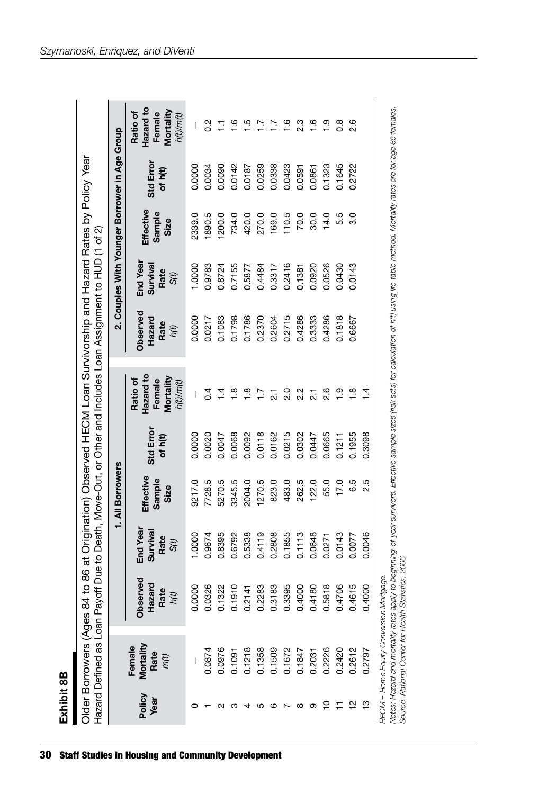| D<br>L<br>٥ŕ<br>í |
|-------------------|
| þ,                |
|                   |
|                   |

| Exhibit 8B     |                                       |                                                                                                             |                                     |                             |                      |                                                                                       |                                           |                                               |                             |                      |                                                           |
|----------------|---------------------------------------|-------------------------------------------------------------------------------------------------------------|-------------------------------------|-----------------------------|----------------------|---------------------------------------------------------------------------------------|-------------------------------------------|-----------------------------------------------|-----------------------------|----------------------|-----------------------------------------------------------|
|                | Older Borrowers (Ages 84              | Hazard Defined as Loan Payoff Due to Death, Move-Out, or Other and Includes Loan Assignment to HUD (1 of 2) |                                     |                             |                      | to 86 at Origination) Observed HECM Loan Survivorship and Hazard Rates by Policy Year |                                           |                                               |                             |                      |                                                           |
|                |                                       |                                                                                                             |                                     | 1. All Borrowers            |                      |                                                                                       |                                           | 2. Couples With Younger Borrower in Age Group |                             |                      |                                                           |
| Policy<br>Year | Mortality<br>Female<br>Rate<br>$m(t)$ | <b>Observed</b><br>Hazard<br>Rate<br>$h(t)$                                                                 | End Year<br>Surviva<br>Rate<br>S(t) | Effective<br>Sample<br>Size | Std Error<br>of h(t) | Hazard to<br>Mortality<br>Ratio of<br>Female<br>h(t)/m(t)                             | <b>Observed</b><br>Hazard<br>Rate<br>h(t) | End Year<br>Surviva<br>Rate<br>S(t)           | Effective<br>Sample<br>Size | Std Error<br>of h(t) | Hazard to<br>Mortality<br>Ratio of<br>Female<br>h(t)/m(t) |
|                |                                       | 0.0000                                                                                                      | 0000                                | 9217.0                      | 0.0000               | I                                                                                     | 0.0000                                    | 0000                                          | 2339.0                      | 0.0000               |                                                           |
|                | 0.0874                                | 0.0326                                                                                                      | 0.9674                              | 7728.5                      | 0.0020               | $\sigma$                                                                              | 0.0217                                    | 0.9783                                        | 1890.5                      | 0.0034               | $\frac{2}{5}$                                             |
|                | 0.0976                                | 0.1322                                                                                                      | 0.8395                              | 5270.5                      | 0.0047               | $\frac{4}{1}$                                                                         | 0.1083                                    | 0.8724                                        | 1200.0                      | 0.0090               |                                                           |
|                | 0.1091                                | 0.1910                                                                                                      | 0.6792                              | 3345.5                      | 0.0068               | $\frac{\infty}{\infty}$                                                               | 0.1798                                    | 0.7155                                        | 734.0                       | 0.0142               | $\overset{\circ}{=}$                                      |
|                | 0.1218                                | 0.2141                                                                                                      | 0.5338                              | 2004.0                      | 0.0092               | $\frac{8}{1}$                                                                         | 0.1786                                    | 0.5877                                        | 420.0                       | 0.0187               | rò.                                                       |
|                | 0.1358                                | 0.2283                                                                                                      | 0.4119                              | 1270.5                      | 0.0118               | $\overline{11}$                                                                       | 0.2370                                    | 0.4484                                        | 270.0                       | 0.0259               | ≊                                                         |
| ဖ              | 0.1509                                | 83<br>0.31                                                                                                  | 0.2808                              | 823.0                       | 0.0162               | $\overline{2}$ .                                                                      | 0.2604                                    | 0.3317                                        | 169.0                       | 0.0338               | Ξ                                                         |
|                | 0.1672                                | 0.3395                                                                                                      | 0.1855                              | 483.0                       | 0.0215               | 2.0                                                                                   | 0.2715                                    | 0.2416                                        | 110.5                       | 0.0423               | $\frac{6}{1}$                                             |
| $^\infty$      | 0.1847                                | 0.4000                                                                                                      | 0.1113                              | 262.5                       | 0.302                | 2.2                                                                                   | 0.4286                                    | 0.1381                                        | 70.0                        | 0.0591               | 2.3                                                       |
| တ              | 0.2031                                | $\frac{80}{2}$<br>0.41                                                                                      | 0.0648                              | 122.0                       | 0.0447               | $\overline{\Omega}$                                                                   | 0.3333                                    | 0.0920                                        | 30.0                        | 0.0861               | 1.6                                                       |
| ₽              | 0.2226                                | 0.5818                                                                                                      | 0.0271                              | 55.0                        | 0.0665               | 2.6                                                                                   | 0.4286                                    | 0.0526                                        | 14.0                        | 0.1323               | <u>တ</u>                                                  |

HECM = Home Equity Conversion Mortgage. *HECM = Home Equity Conversion Mortgage.*

10 0.2226 11 0.2420 12 0.2612 13 0.2797

0.2420

 $\Xi = \Xi \Xi$ 

0.2612 0.2797

0.5818 0.0271 55.0 0.0665 2.6 0.4706 0.0143 17.0 0.1211 1.9 0.4615 0.0077 6.5 0.1955 1.8 0.4000 0.0046 2.5 0.3098 1.4

0.5818 0.4706 0.4615 0.4000

55.0 17.0 6.5 2.5

0.1211 0.1955 0.3098

0.0143

0.0077

0.0046

2.6  $\frac{0}{1}$   $\frac{0}{0}$  $\frac{4}{1}$ 

0.4286 0.0526 14.0 0.0526 14.0 0.0526 1.923 0.1818 0.0430 5.5 0.1645 0.8 0.6667 0.0143 3.0 0.2722 2.6

 $14.0$ 5.5<br>3.0

0.1645 0.2722

0.0430 0.0143

0.1818

0.6667

*Notes: Hazard and mortality rates apply to beginning-of-year survivors. Effective sample sizes (risk sets) for calculation of h(t) using life-table method. Mortality rates are for age 85 females.*  Notes: Hazard and mortality rates apply to beginning-of-year survivors. Effective sample sizes (risk sets) for calculation of h(t) using life-table method. Mortality rates are for age 85 females. Source: National Center for Health Statistics, 2006 *Source: National Center for Health Statistics, 2006*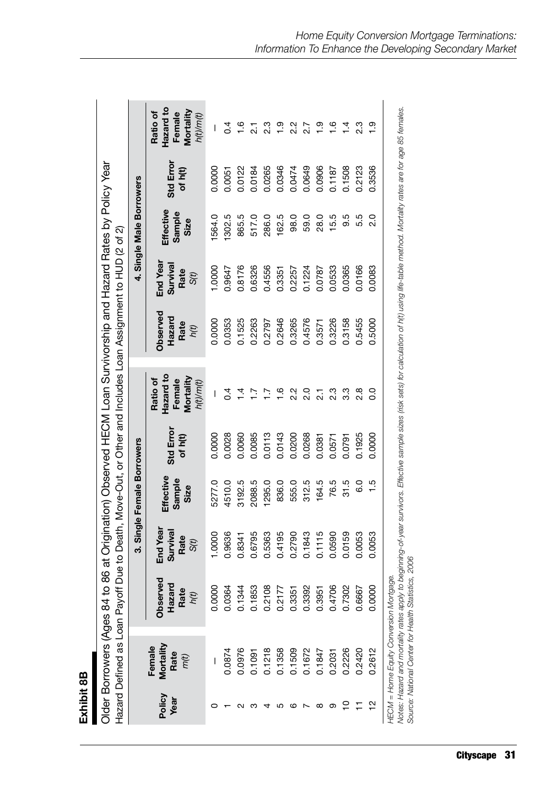| п<br>٦ |
|--------|
|        |
| œ<br>í |
|        |
| ÷      |
|        |
|        |
|        |
|        |
|        |
|        |
|        |
|        |

|                |                                     |                                                                                                                                                                                                                                                                                                       |                                                  | 3. Single Female Borrowers  |                      |                                                           |                                           |                                      | 4. Single Male Borrowers    |                      |                                                           |
|----------------|-------------------------------------|-------------------------------------------------------------------------------------------------------------------------------------------------------------------------------------------------------------------------------------------------------------------------------------------------------|--------------------------------------------------|-----------------------------|----------------------|-----------------------------------------------------------|-------------------------------------------|--------------------------------------|-----------------------------|----------------------|-----------------------------------------------------------|
| Policy<br>Year | Mortality<br>Female<br>Rate<br>m(t) | Observed<br>਼ਾ੍<br>Rate<br>Haza<br>h(t)                                                                                                                                                                                                                                                               | End Year<br>Survival<br>Rate<br>S <sub>(t)</sub> | Effective<br>Sample<br>Size | Std Error<br>of h(t) | Hazard to<br>Mortality<br>Ratio of<br>Female<br>h(t)/m(t) | <b>Observed</b><br>Hazard<br>Rate<br>h(t) | End Year<br>Survival<br>Rate<br>S(t) | Effective<br>Sample<br>Size | Std Error<br>of h(t) | Hazard to<br>Mortality<br>Ratio of<br>Female<br>h(t)/m(t) |
|                |                                     | 0.0000                                                                                                                                                                                                                                                                                                | 1.0000                                           | 5277.0                      | 0.0000               | I                                                         | 0.0000                                    | 1.0000                               | 1564.0                      | 0.0000               | I                                                         |
|                | 0.0874                              | 0.0364                                                                                                                                                                                                                                                                                                | 0.9636                                           | 4510.0                      | 0.0028               | $\sigma$                                                  | 0.0353                                    | 0.9647                               | 1302.5                      | 0.0051               | $\sigma$                                                  |
|                | 0.0976                              | 0.1344                                                                                                                                                                                                                                                                                                | 0.8341                                           | 3192.5                      | 0.0060               |                                                           | 0.1525                                    | 0.8176                               | 865.5                       | 0.0122               | $\frac{6}{1}$                                             |
|                | 0.1091                              | 0.1853                                                                                                                                                                                                                                                                                                | 0.6795                                           | 2088.5                      | 0.0085               |                                                           | 0.2263                                    | 0.6326                               | 517.0                       | 0.0184               |                                                           |
|                | 0.1218                              | 0.2108                                                                                                                                                                                                                                                                                                | 0.5363                                           | 1295.0                      | 0.0113               | $\overline{1}$                                            | 0.2797                                    | 0.4556                               | 286.0                       | 0.0265               | 2.3                                                       |
| ഥ              | 0.1358                              | 0.2177                                                                                                                                                                                                                                                                                                | 0.4195                                           | 836.0                       | 0.0143               | $\frac{6}{1}$                                             | 0.2646                                    | 0.3351                               | 162.5                       | 0.0346               | $\frac{1}{2}$                                             |
| ဖ              | 0.1509                              | 0.3351                                                                                                                                                                                                                                                                                                | 0.2790                                           | 555.0                       | 0.0200               | $2.\overline{2}$                                          | 0.3265                                    | 0.2257                               | 98.0                        | 0.0474               | $2.\overline{2}$                                          |
|                | 0.1672                              | 0.3392                                                                                                                                                                                                                                                                                                | 0.1843                                           | 312.5                       | 0.0268               | $\frac{0}{2}$                                             | 0.4576                                    | 0.1224                               | 59.0                        | 0.0649               | 2.7                                                       |
| ∞              | 0.1847                              | 0.3951                                                                                                                                                                                                                                                                                                | 0.1115                                           | 164.5                       | 0.0381               | $\overline{21}$                                           | 0.3571                                    | 0.0787                               | 28.0                        | 0.0906               | $\frac{0}{1}$                                             |
| တ              | 0.2031                              | 0.4706                                                                                                                                                                                                                                                                                                | 0.0590                                           | 76.5                        | 0.0571               | 2.3                                                       | 0.3226                                    | 0.0533                               | 15.5                        | 0.1187               | $\frac{6}{1}$                                             |
| ₽              | 0.2226                              | 0.7302                                                                                                                                                                                                                                                                                                | 0.0159                                           | 31.5                        | 0.0791               | 3.3                                                       | 0.3158                                    | 0.0365                               | 9.5                         | 0.1508               | $1\frac{4}{1}$                                            |
|                | 0.2420                              | 0.6667                                                                                                                                                                                                                                                                                                | 0.0053                                           | 6.0                         | 0.1925               | $\frac{8}{2}$                                             | 0.5455                                    | 0.0166                               | 5.5                         | 0.2123               | 2.3                                                       |
| 으              | 0.2612                              | 0<br>0.000                                                                                                                                                                                                                                                                                            | 0.0053                                           | 1.5                         | 0.0000               | ိ                                                         | 0.5000                                    | 0.0083                               | o<br>N                      | 0.3536               | <u>ာ</u>                                                  |
|                |                                     | Notes: Hazard and mortality rates apply to beginning-of-year survivors. Effective sample sizes (risk sets) for calculation of h(t) using life-table method. Mortality rates are for age 85 females.<br>Source: National Center for Health Statistics, 2006<br>HECM = Home Equity Conversion Mortgage. |                                                  |                             |                      |                                                           |                                           |                                      |                             |                      |                                                           |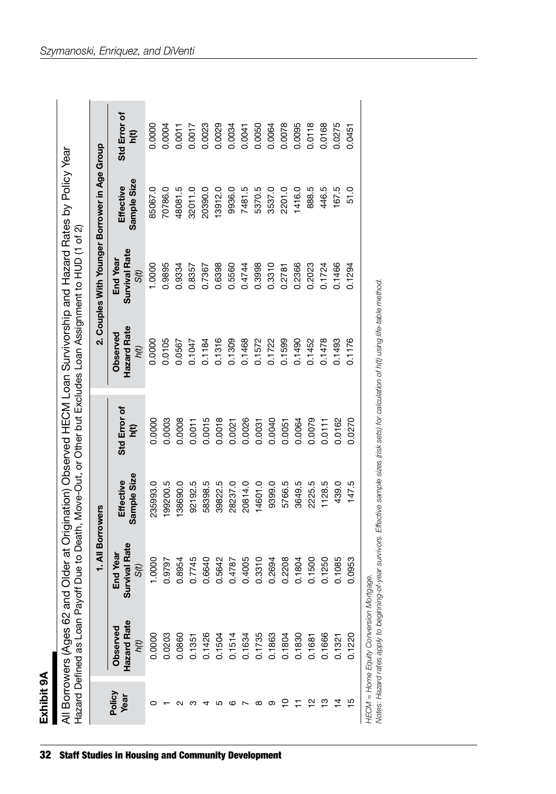| г |
|---|
| ı |
|   |
|   |
|   |
|   |

|                                |                                 | 1. All Borrowers                                 |                          |                        |                                        | 2. Couples With Younger Borrower in Age Group |                          |                        |
|--------------------------------|---------------------------------|--------------------------------------------------|--------------------------|------------------------|----------------------------------------|-----------------------------------------------|--------------------------|------------------------|
| Policy<br>Year                 | Hazard Rate<br>Observed<br>h(t) | rvival Rate<br>End Year<br>S <sub>(t)</sub><br>ಹ | Sample Size<br>Effective | Std Error of<br>բ<br>Ե | Hazard Rate<br><b>Observed</b><br>h(t) | <b>Survival Rate</b><br>End Year<br>S(t)      | Sample Size<br>Effective | Std Error of<br>բ<br>5 |
|                                | 0.0000                          | 1.0000                                           | 235993.0                 | 0.0000                 | 0.0000                                 | 0000.                                         | 95067.0                  | 0.0000                 |
|                                | 0.0203                          | 0.9797                                           | 199200.5                 | 0.0003                 | 0.0105                                 | 0.9895                                        | 70786.0                  | 0.0004                 |
|                                | 0.0860                          | 0.8954                                           | 38690.0                  | 0.0008                 | 0.0567                                 | 0.9334                                        | 48081.5                  | 0.0011                 |
|                                | 0.1351                          | 0.7745                                           | 92192.5                  | 0.0011                 | 0.1047                                 | 0.8357                                        | 32011.0                  | 0.0017                 |
|                                | 0.1426                          | 0.6640                                           | 58398.5                  | 0.0015                 | 0.1184                                 | 0.7367                                        | 20390.0                  | 0.0023                 |
| ιΩ                             | 0.1504                          | 0.5642                                           | 39822.5                  | 0.0018                 | 0.1316                                 | 0.6398                                        | 13912.0                  | 0.0029                 |
| cc                             | 0.1514                          | 0.4787                                           | 28237.0                  | 0.0021                 | 0.1309                                 | 0.5560                                        | 9936.0                   | 0.0034                 |
|                                | 0.1634                          | 0.4005                                           | 20814.0                  | 0.0026                 | 0.1468                                 | 0.4744                                        | 7481.5                   | 0.0041                 |
| ∞                              | 0.1735                          | 0.3310                                           | 14601.0                  | 0.0031                 | 0.1572                                 | 0.3998                                        | 5370.5                   | 0.0050                 |
| တ                              | 0.1863                          | 0.2694                                           | 9399.0                   | 0.0040                 | 0.1722                                 | 0.3310                                        | 3537.0                   | 0.0064                 |
| $\stackrel{\textstyle\circ}{}$ | 0.1804                          | 0.2208                                           | 5766.5                   | 0.0051                 | 0.1599                                 | 0.2781                                        | 2201.0                   | 0.0078                 |
|                                | 0.1830                          | 0.1804                                           | 3649.5                   | 0.0064                 | 0.1490                                 | 0.2366                                        | 1416.0                   | 0.0095                 |
| ∾                              | 0.1681                          | 0.1500                                           | 2225.5                   | 0.0079                 | 0.1452                                 | 0.2023                                        | 888.5                    | 0.0118                 |
| ≌                              | 0.1666                          | 0.1250                                           | 1128.5                   | 0.0111                 | 0.1478                                 | 0.1724                                        | 446.5                    | 0.0168                 |
| ₫                              | 0.1321                          | 0.1085                                           | 439.0                    | 0.0162                 | 0.1493                                 | 0.1466                                        | 167.5                    | 0.0275                 |
| 15                             | 0.1220                          | 0.0953                                           | 147.5                    | 0.0270                 | 0.1176                                 | 0.1294                                        | 51.0                     | 0.0451                 |

32 Staff Studies in Housing and Community Development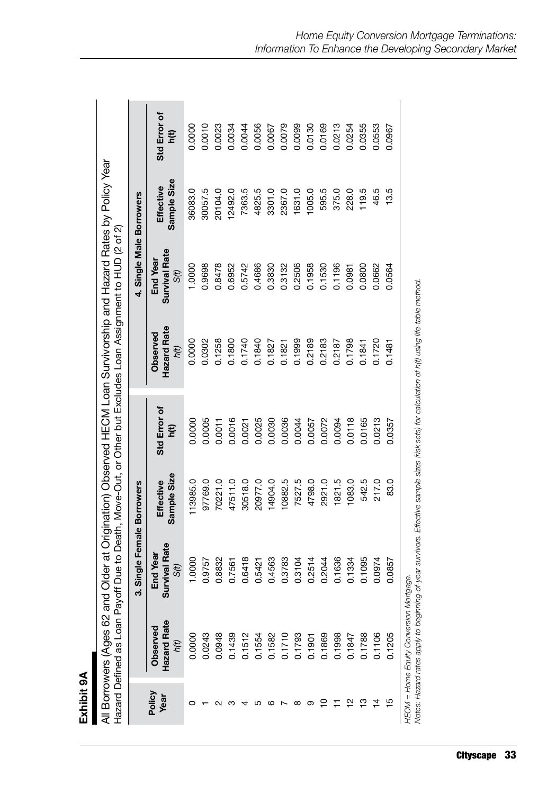| c      |
|--------|
| Ł<br>í |
|        |
|        |
|        |
|        |
|        |

| ss 62 and Older at Origination) Observed HECM Loan Survivorship and Hazard Rates by Policy Year     |
|-----------------------------------------------------------------------------------------------------|
| oan Payoff Due to Death, Move-Out, or Other but Excludes Loan Assignment to HUD (2 of 2).<br>J<br>S |

|                |                                 | Single Female Borrowers<br>ကံ        |                          |                   |                                 | 4. Single Male Borrowers          |                          |                    |
|----------------|---------------------------------|--------------------------------------|--------------------------|-------------------|---------------------------------|-----------------------------------|--------------------------|--------------------|
| Policy<br>Year | Hazard Rate<br>Observed<br>h(t) | rvival Rate<br>End Year<br>S(t)<br>ಹ | Sample Size<br>Effective | Std Error of<br>ξ | Hazard Rate<br>Observed<br>h(t) | Survival Rate<br>End Year<br>S(t) | Sample Size<br>Effective | Std Error of<br>ĒД |
|                | 0.0000                          | 1,0000                               | 113985.0                 | 0.0000            | 0.0000                          | 1.0000                            | 36083.0                  | 0.0000             |
|                | 0.0243                          | 0.9757                               | 97769.0                  | 0.0005            | 0.0302                          | 0.9698                            | 30057.5                  | 0.0010             |
|                | 0.0948                          | 0.8832                               | 70221.0                  | 0.0011            | 0.1258                          | 0.8478                            | 20104.0                  | 0.0023             |
|                | 0.1439                          | 0.7561                               | 47511.0                  | 0.0016            | 0.1800                          | 0.6952                            | 12492.0                  | 0.0034             |
|                | 0.1512                          | 0.6418                               | 30518.0                  | 0.0021            | 0.1740                          | 0.5742                            | 7363.5                   | 0.0044             |
|                | 0.1554                          | 0.5421                               | 20977.0                  | 0.0025            | 0.1840                          | 0.4686                            | 4825.5                   | 0.0056             |
| ဖ              | 0.1582                          | 0.4563                               | 14904.0                  | 0.0030            | 0.1827                          | 0.3830                            | 3301.0                   | 0.0067             |
|                | 0.1710                          | 0.3783                               | 10882.5                  | 0.0036            | 0.1821                          | 0.3132                            | 2367.0                   | 0.0079             |
| ∞              | 0.1793                          | 0.3104                               | 7527.5                   | 0.0044            | 0.1999                          | 0.2506                            | 1631.0                   | 0.0099             |
| တ              | 0.1901                          | 0.2514                               | 4798.0                   | 0.0057            | 0.2189                          | 0.1958                            | 0.500                    | 0.0130             |
| ≘              | 0.1869                          | 0.2044                               | 2921.0                   | 0.0072            | 0.2183                          | 0.1530                            | 595.5                    | 0.0169             |
|                | 0.1998                          | 0.1636                               | 1821.5                   | 0.0094            | 0.2187                          | 0.1196                            | 375.0                    | 0.0213             |
| ∾              | 0.1847                          | 0.1334                               | 083.0                    | 0.0118            | 0.1798                          | 0.0981                            | 228.0                    | 0.0254             |
| ≌              | 0.1788                          | 0.1095                               | 542.5                    | 0.0165            | 0.1841                          | 0.0800                            | 119.5                    | 0.0355             |
| ₫              | 0.1106                          | 0.0974                               | 217.0                    | 0.0213            | 0.1720                          | 0.0662                            | 46.5                     | 0.0553             |
| 15             | 0.1205                          | 0.0857                               | 83.0                     | 0.0357            | 0.1481                          | 0.0564                            | 13.5                     | 0.0967             |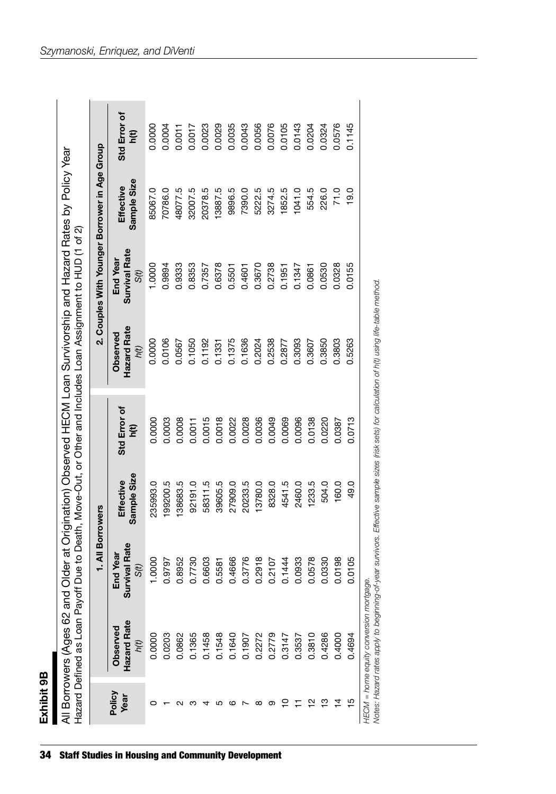| r.     |
|--------|
| г      |
| ŧ<br>٠ |
|        |
|        |
|        |
|        |

| 3274.5<br>35067.0<br>48077.5<br>32007.5<br>20378.5<br>13887.5<br>9896.5<br>70786.0<br>1041.0<br>71.0<br><b>Survival Rate</b><br>End Year<br>0000.<br>0.6378<br>0.3670<br>0.2738<br>0.0328<br>0.9894<br>0.9333<br>0.8353<br>0.1347<br>0.0530<br>0.0155<br>0.7357<br>0.5501<br>0.4601<br>0.1951<br>0.0861<br>S(t)<br><b>Hazard Rate</b><br><b>Observed</b><br>0.0106<br>0.1050<br>0.1375<br>0.1636<br>0.2024<br>0.2538<br>0.3093<br>0.3850<br>0.3803<br>0.5263<br>0.0000<br>0.1192<br>0.3607<br>0.0567<br>0.2877<br>0.1331<br>h(t)<br>Std Error of<br>0.0018<br>0.0028<br>0.0036<br>0.0096<br>0.0138<br>0.0713<br>0.0003<br>0.0008<br>0.0015<br>0.0022<br>0.0049<br>0.0069<br>0.0220<br>0.0387<br>0.0000<br>0.0011<br>բ<br>Ե<br>Sample Size<br>Effective<br>20233.5<br>235993.0<br>199200.5<br>138683.5<br>58311.5<br>39605.5<br>13780.0<br>4541.5<br>2460.0<br>1233.5<br>504.0<br>160.0<br>49.0<br>92191.0<br>27909.0<br>8328.0<br>rvival Rate<br>End Year<br>0.0198<br>0.6603<br>0.4666<br>0.3776<br>0.2918<br>0.0933<br>0.0578<br>0.0330<br>0.0105<br>1.0000<br>0.8952<br>0.7730<br>0.2107<br>0.1444<br>0.9797<br>0.5581<br>S(t)<br>ಹ<br>Hazard Rate<br>Observed<br>0.0203<br>0.1365<br>0.1458<br>0.1548<br>0.2272<br>0.2779<br>0.3810<br>0.4286<br>0.0862<br>0.1640<br>0.3537<br>0.4000<br>0.3147<br>0.4694<br>0.0000<br>1907<br>h(t)<br>Policy<br>Year<br>ღ<br>$\overline{4}$<br>15<br>≘<br>N<br>œ<br>တ<br>ιΩ<br>c |  | 1. All Borrowers |  | 2. Couples With Younger Borrower in Age Group |                          |                        |
|-----------------------------------------------------------------------------------------------------------------------------------------------------------------------------------------------------------------------------------------------------------------------------------------------------------------------------------------------------------------------------------------------------------------------------------------------------------------------------------------------------------------------------------------------------------------------------------------------------------------------------------------------------------------------------------------------------------------------------------------------------------------------------------------------------------------------------------------------------------------------------------------------------------------------------------------------------------------------------------------------------------------------------------------------------------------------------------------------------------------------------------------------------------------------------------------------------------------------------------------------------------------------------------------------------------------------------------------------------------------------------------------------------------------------|--|------------------|--|-----------------------------------------------|--------------------------|------------------------|
|                                                                                                                                                                                                                                                                                                                                                                                                                                                                                                                                                                                                                                                                                                                                                                                                                                                                                                                                                                                                                                                                                                                                                                                                                                                                                                                                                                                                                       |  |                  |  |                                               | Sample Size<br>Effective | Std Error of<br>բ<br>5 |
|                                                                                                                                                                                                                                                                                                                                                                                                                                                                                                                                                                                                                                                                                                                                                                                                                                                                                                                                                                                                                                                                                                                                                                                                                                                                                                                                                                                                                       |  |                  |  |                                               |                          | 0.0000                 |
|                                                                                                                                                                                                                                                                                                                                                                                                                                                                                                                                                                                                                                                                                                                                                                                                                                                                                                                                                                                                                                                                                                                                                                                                                                                                                                                                                                                                                       |  |                  |  |                                               |                          | 0.0004                 |
|                                                                                                                                                                                                                                                                                                                                                                                                                                                                                                                                                                                                                                                                                                                                                                                                                                                                                                                                                                                                                                                                                                                                                                                                                                                                                                                                                                                                                       |  |                  |  |                                               |                          | 0.0011                 |
|                                                                                                                                                                                                                                                                                                                                                                                                                                                                                                                                                                                                                                                                                                                                                                                                                                                                                                                                                                                                                                                                                                                                                                                                                                                                                                                                                                                                                       |  |                  |  |                                               |                          | 0.0017                 |
|                                                                                                                                                                                                                                                                                                                                                                                                                                                                                                                                                                                                                                                                                                                                                                                                                                                                                                                                                                                                                                                                                                                                                                                                                                                                                                                                                                                                                       |  |                  |  |                                               |                          | 0.0023                 |
|                                                                                                                                                                                                                                                                                                                                                                                                                                                                                                                                                                                                                                                                                                                                                                                                                                                                                                                                                                                                                                                                                                                                                                                                                                                                                                                                                                                                                       |  |                  |  |                                               |                          | 0.0029                 |
|                                                                                                                                                                                                                                                                                                                                                                                                                                                                                                                                                                                                                                                                                                                                                                                                                                                                                                                                                                                                                                                                                                                                                                                                                                                                                                                                                                                                                       |  |                  |  |                                               |                          | 0.0035                 |
|                                                                                                                                                                                                                                                                                                                                                                                                                                                                                                                                                                                                                                                                                                                                                                                                                                                                                                                                                                                                                                                                                                                                                                                                                                                                                                                                                                                                                       |  |                  |  |                                               | 7390.0                   | 0.0043                 |
|                                                                                                                                                                                                                                                                                                                                                                                                                                                                                                                                                                                                                                                                                                                                                                                                                                                                                                                                                                                                                                                                                                                                                                                                                                                                                                                                                                                                                       |  |                  |  |                                               | 5222.5                   | 0.0056                 |
|                                                                                                                                                                                                                                                                                                                                                                                                                                                                                                                                                                                                                                                                                                                                                                                                                                                                                                                                                                                                                                                                                                                                                                                                                                                                                                                                                                                                                       |  |                  |  |                                               |                          | 0.0076                 |
|                                                                                                                                                                                                                                                                                                                                                                                                                                                                                                                                                                                                                                                                                                                                                                                                                                                                                                                                                                                                                                                                                                                                                                                                                                                                                                                                                                                                                       |  |                  |  |                                               | 1852.5                   | 0.0105                 |
|                                                                                                                                                                                                                                                                                                                                                                                                                                                                                                                                                                                                                                                                                                                                                                                                                                                                                                                                                                                                                                                                                                                                                                                                                                                                                                                                                                                                                       |  |                  |  |                                               |                          | 0.0143                 |
|                                                                                                                                                                                                                                                                                                                                                                                                                                                                                                                                                                                                                                                                                                                                                                                                                                                                                                                                                                                                                                                                                                                                                                                                                                                                                                                                                                                                                       |  |                  |  |                                               | 554.5                    | 0.0204                 |
|                                                                                                                                                                                                                                                                                                                                                                                                                                                                                                                                                                                                                                                                                                                                                                                                                                                                                                                                                                                                                                                                                                                                                                                                                                                                                                                                                                                                                       |  |                  |  |                                               | 226.0                    | 0.0324                 |
|                                                                                                                                                                                                                                                                                                                                                                                                                                                                                                                                                                                                                                                                                                                                                                                                                                                                                                                                                                                                                                                                                                                                                                                                                                                                                                                                                                                                                       |  |                  |  |                                               |                          | 0.0576                 |
|                                                                                                                                                                                                                                                                                                                                                                                                                                                                                                                                                                                                                                                                                                                                                                                                                                                                                                                                                                                                                                                                                                                                                                                                                                                                                                                                                                                                                       |  |                  |  |                                               | 19.0                     | 0.1145                 |

34 Staff Studies in Housing and Community Development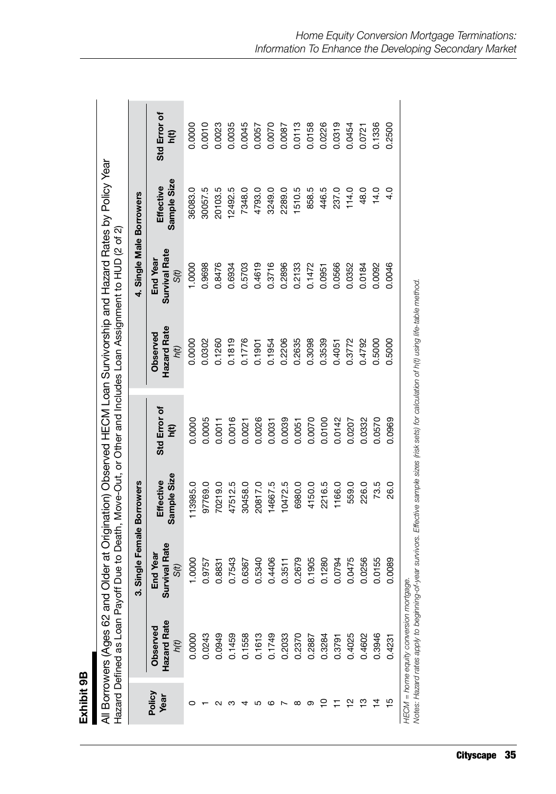| Π<br>П |  |
|--------|--|
|        |  |
| თ      |  |
| ÷      |  |
|        |  |
|        |  |
|        |  |
|        |  |
|        |  |
| ٢      |  |
|        |  |
|        |  |
|        |  |

| $\frac{1}{2}$<br>"Ages 62 and Older at Origination) Observed HECM Loan Survivorship and Hazard Rates by Pond | le to Death Maye-Out or Other and Included Loan Assignment to HI ID (2 of 2).<br>לי ב' אר הסווי היה המונייה בינו המונייה בינו המונים בינו המונים בינו המונייה בינו המונים המונייה המונייה המוני<br>han Pavoff Dilet |
|--------------------------------------------------------------------------------------------------------------|---------------------------------------------------------------------------------------------------------------------------------------------------------------------------------------------------------------------|
|                                                                                                              |                                                                                                                                                                                                                     |
|                                                                                                              |                                                                                                                                                                                                                     |
|                                                                                                              | ļ                                                                                                                                                                                                                   |
|                                                                                                              |                                                                                                                                                                                                                     |
|                                                                                                              |                                                                                                                                                                                                                     |
|                                                                                                              |                                                                                                                                                                                                                     |
|                                                                                                              |                                                                                                                                                                                                                     |

|                |                                 | Single Female Borrowers<br>ຕ່                 |                          |                         |                                 | 4. Single Male Borrowers          |                          |                    |
|----------------|---------------------------------|-----------------------------------------------|--------------------------|-------------------------|---------------------------------|-----------------------------------|--------------------------|--------------------|
| Policy<br>Year | Hazard Rate<br>Observed<br>h(t) | <b>Irvival Rate</b><br>End Year<br>S(t)<br>ຜັ | Sample Size<br>Effective | Std Error of<br>են<br>Ե | Hazard Rate<br>Observed<br>hít) | Survival Rate<br>End Year<br>S(t) | Sample Size<br>Effective | Std Error of<br>Бq |
|                | 0.0000                          | 1.0000                                        | 13985.0                  | 0.0000                  | 0.0000                          | 1.0000                            | 36083.0                  | 0.0000             |
|                | 0.0243                          | 0.9757                                        | 97769.0                  | 0.0005                  | 0.0302                          | 0.9698                            | 30057.5                  | 0.0010             |
|                | 0.0949                          | 0.8831                                        | 70219.0                  | 0.0011                  | 0.1260                          | 0.8476                            | 20103.5                  | 0.0023             |
|                | 0.1459                          | 0.7543                                        | 47512.5                  | 0.0016                  | 0.1819                          | 0.6934                            | 12492.5                  | 0.0035             |
|                | 0.1558                          | 0.6367                                        | 30458.0                  | 0.0021                  | 0.1776                          | 0.5703                            | 7348.0                   | 0.0045             |
|                |                                 | 0.5340                                        | 20817.0                  | 0.0026                  | 0.1901                          | 0.4619                            | 4793.0                   | 0.0057             |
|                | 0.1613<br>0.1749                | 0.4406                                        | 14667.5                  | 0.0031                  | 0.1954                          | 0.3716                            | 3249.0                   | 0.0070             |
|                | 0.2033                          | 0.3511                                        | 0472.5                   | 0.0039                  | 0.2206                          | 0.2896                            | 2289.0                   | 0.0087             |
|                | 0.2370                          | 0.2679                                        | 6980.0                   | 0.0051                  | 0.2635                          | 0.2133                            | 1510.5                   | 0.0113             |
|                | 0.2887                          | 0.1905                                        | 4150.0                   | 0.0070                  | 0.3098                          | 0.1472                            | 858.5                    | 0.0158             |
|                | 0.3284                          | 0.1280                                        | 2216.5                   | 0.0100                  | 0.3539                          | 0.0951                            | 446.5                    | 0.0226             |
|                | 0.3791                          | 0.0794                                        | 1166.0                   | 0.0142                  | 0.4051                          | 0.0566                            | 237.0                    | 0.0319             |
|                | 0.4025                          | 0.0475                                        | 559.0                    | 0.0207                  | 0.3772                          | 0.0352                            | 114.0                    | 0.0454             |
|                | 0.4602                          | 0.0256                                        | 226.0                    | 0.0332                  | 0.4792                          | 0.0184                            | 48.0                     | 0.0721             |
|                | 0.3946                          | 0.0155                                        | 73.5                     | 0.0570                  | 0.5000                          | 0.0092                            | 14.0                     | 0.1336             |
|                | 0.4231                          | 0.0089                                        | 26.0                     | 0.0969                  | 0.5000                          | 0.0046                            | 4.0                      | 0.2500             |
| i<br>Li        |                                 |                                               |                          |                         |                                 |                                   |                          |                    |

HECM = home equity conversion mortgage.<br>Notes: Hazard rates apply to beginning-of-year survivors. Effective sample sizes (risk sets) for calculation of h(t) using life-table method. *Notes: Hazard rates apply to beginning-of-year survivors. Effective sample sizes (risk sets) for calculation of h(t) using life-table method.HECM = home equity conversion mortgage.*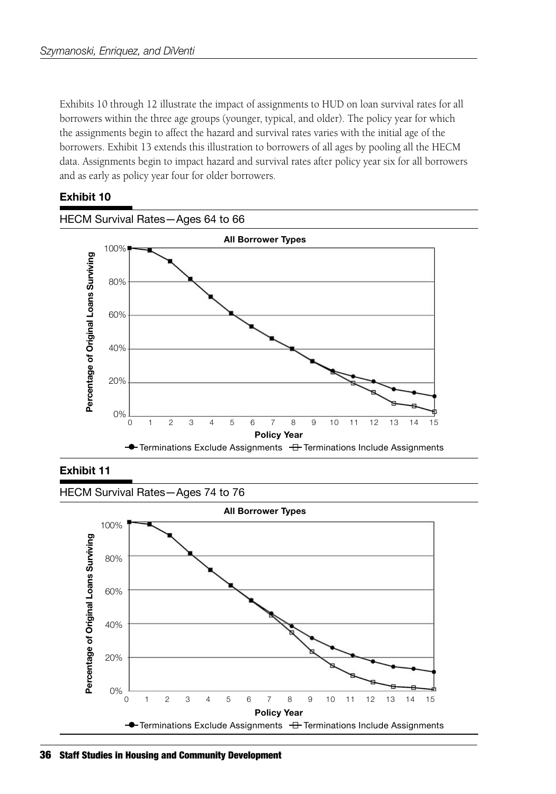Exhibits 10 through 12 illustrate the impact of assignments to HUD on loan survival rates for all borrowers within the three age groups (younger, typical, and older). The policy year for which the assignments begin to affect the hazard and survival rates varies with the initial age of the borrowers. Exhibit 13 extends this illustration to borrowers of all ages by pooling all the HECM data. Assignments begin to impact hazard and survival rates after policy year six for all borrowers and as early as policy year four for older borrowers.

#### **Exhibit 10**



#### **Exhibit 11**

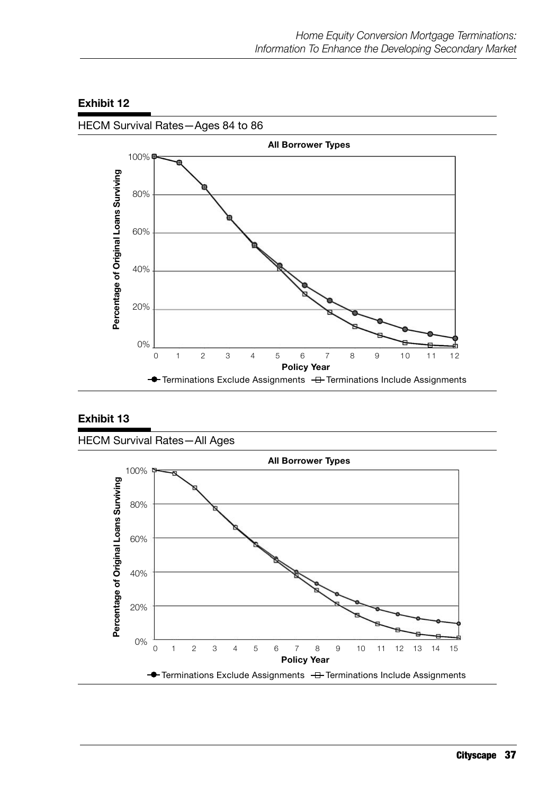

#### **Exhibit 12**

#### **Exhibit 13**

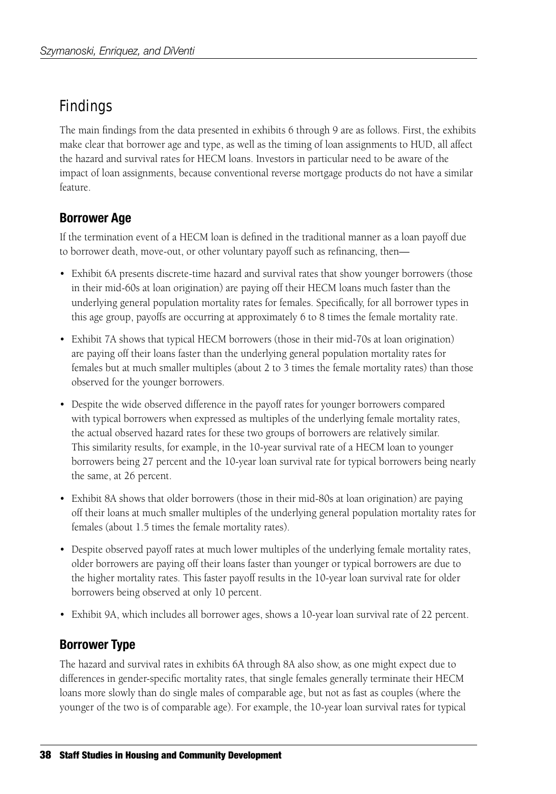# Findings

The main findings from the data presented in exhibits 6 through 9 are as follows. First, the exhibits make clear that borrower age and type, as well as the timing of loan assignments to HUD, all affect the hazard and survival rates for HECM loans. Investors in particular need to be aware of the impact of loan assignments, because conventional reverse mortgage products do not have a similar feature.

## **Borrower Age**

If the termination event of a HECM loan is defined in the traditional manner as a loan payoff due to borrower death, move-out, or other voluntary payoff such as refinancing, then—

- Exhibit 6A presents discrete-time hazard and survival rates that show younger borrowers (those in their mid-60s at loan origination) are paying off their HECM loans much faster than the underlying general population mortality rates for females. Specifically, for all borrower types in this age group, payoffs are occurring at approximately 6 to 8 times the female mortality rate.
- Exhibit 7A shows that typical HECM borrowers (those in their mid-70s at loan origination) are paying off their loans faster than the underlying general population mortality rates for females but at much smaller multiples (about 2 to 3 times the female mortality rates) than those observed for the younger borrowers.
- Despite the wide observed difference in the payoff rates for younger borrowers compared with typical borrowers when expressed as multiples of the underlying female mortality rates, the actual observed hazard rates for these two groups of borrowers are relatively similar. This similarity results, for example, in the 10-year survival rate of a HECM loan to younger borrowers being 27 percent and the 10-year loan survival rate for typical borrowers being nearly the same, at 26 percent.
- Exhibit 8A shows that older borrowers (those in their mid-80s at loan origination) are paying off their loans at much smaller multiples of the underlying general population mortality rates for females (about 1.5 times the female mortality rates).
- Despite observed payoff rates at much lower multiples of the underlying female mortality rates, older borrowers are paying off their loans faster than younger or typical borrowers are due to the higher mortality rates. This faster payoff results in the 10-year loan survival rate for older borrowers being observed at only 10 percent.
- Exhibit 9A, which includes all borrower ages, shows a 10-year loan survival rate of 22 percent.

## **Borrower Type**

The hazard and survival rates in exhibits 6A through 8A also show, as one might expect due to differences in gender-specific mortality rates, that single females generally terminate their HECM loans more slowly than do single males of comparable age, but not as fast as couples (where the younger of the two is of comparable age). For example, the 10-year loan survival rates for typical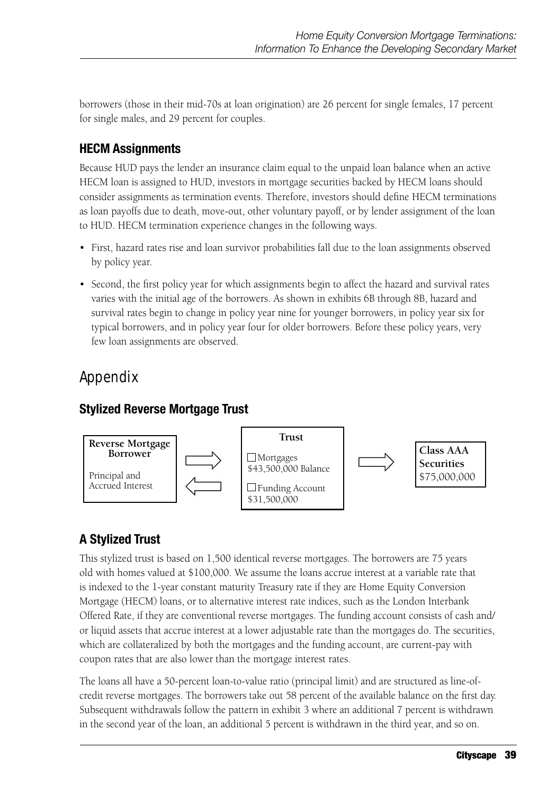borrowers (those in their mid-70s at loan origination) are 26 percent for single females, 17 percent for single males, and 29 percent for couples.

## **HECM Assignments**

Because HUD pays the lender an insurance claim equal to the unpaid loan balance when an active HECM loan is assigned to HUD, investors in mortgage securities backed by HECM loans should consider assignments as termination events. Therefore, investors should define HECM terminations as loan payoffs due to death, move-out, other voluntary payoff, or by lender assignment of the loan to HUD. HECM termination experience changes in the following ways.

- First, hazard rates rise and loan survivor probabilities fall due to the loan assignments observed by policy year.
- Second, the first policy year for which assignments begin to affect the hazard and survival rates varies with the initial age of the borrowers. As shown in exhibits 6B through 8B, hazard and survival rates begin to change in policy year nine for younger borrowers, in policy year six for typical borrowers, and in policy year four for older borrowers. Before these policy years, very few loan assignments are observed.

# Appendix

## **Stylized Reverse Mortgage Trust**



# **A Stylized Trust**

This stylized trust is based on 1,500 identical reverse mortgages. The borrowers are 75 years old with homes valued at \$100,000. We assume the loans accrue interest at a variable rate that is indexed to the 1-year constant maturity Treasury rate if they are Home Equity Conversion Mortgage (HECM) loans, or to alternative interest rate indices, such as the London Interbank Offered Rate, if they are conventional reverse mortgages. The funding account consists of cash and/ or liquid assets that accrue interest at a lower adjustable rate than the mortgages do. The securities, which are collateralized by both the mortgages and the funding account, are current-pay with coupon rates that are also lower than the mortgage interest rates.

The loans all have a 50-percent loan-to-value ratio (principal limit) and are structured as line-ofcredit reverse mortgages. The borrowers take out 58 percent of the available balance on the first day. Subsequent withdrawals follow the pattern in exhibit 3 where an additional 7 percent is withdrawn in the second year of the loan, an additional 5 percent is withdrawn in the third year, and so on.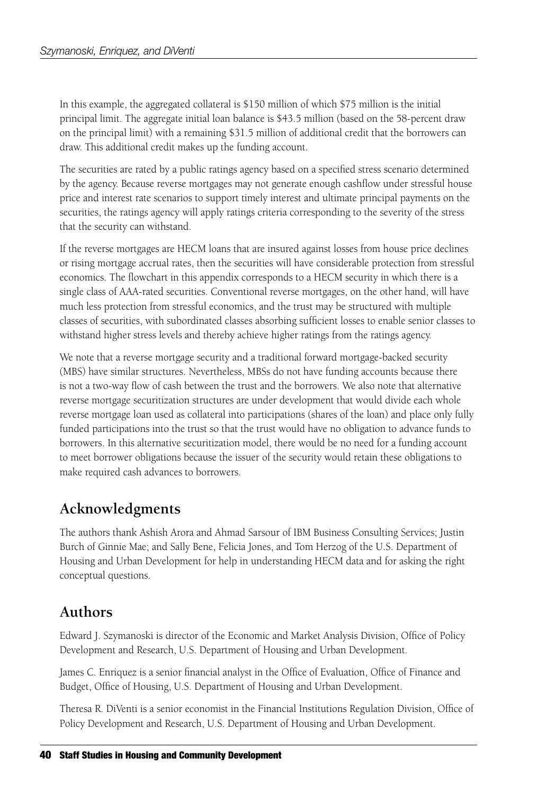In this example, the aggregated collateral is \$150 million of which \$75 million is the initial principal limit. The aggregate initial loan balance is \$43.5 million (based on the 58-percent draw on the principal limit) with a remaining \$31.5 million of additional credit that the borrowers can draw. This additional credit makes up the funding account.

The securities are rated by a public ratings agency based on a specified stress scenario determined by the agency. Because reverse mortgages may not generate enough cashflow under stressful house price and interest rate scenarios to support timely interest and ultimate principal payments on the securities, the ratings agency will apply ratings criteria corresponding to the severity of the stress that the security can withstand.

If the reverse mortgages are HECM loans that are insured against losses from house price declines or rising mortgage accrual rates, then the securities will have considerable protection from stressful economics. The flowchart in this appendix corresponds to a HECM security in which there is a single class of AAA-rated securities. Conventional reverse mortgages, on the other hand, will have much less protection from stressful economics, and the trust may be structured with multiple classes of securities, with subordinated classes absorbing sufficient losses to enable senior classes to withstand higher stress levels and thereby achieve higher ratings from the ratings agency.

We note that a reverse mortgage security and a traditional forward mortgage-backed security (MBS) have similar structures. Nevertheless, MBSs do not have funding accounts because there is not a two-way flow of cash between the trust and the borrowers. We also note that alternative reverse mortgage securitization structures are under development that would divide each whole reverse mortgage loan used as collateral into participations (shares of the loan) and place only fully funded participations into the trust so that the trust would have no obligation to advance funds to borrowers. In this alternative securitization model, there would be no need for a funding account to meet borrower obligations because the issuer of the security would retain these obligations to make required cash advances to borrowers.

# **Acknowledgments**

The authors thank Ashish Arora and Ahmad Sarsour of IBM Business Consulting Services; Justin Burch of Ginnie Mae; and Sally Bene, Felicia Jones, and Tom Herzog of the U.S. Department of Housing and Urban Development for help in understanding HECM data and for asking the right conceptual questions.

# **Authors**

Edward J. Szymanoski is director of the Economic and Market Analysis Division, Office of Policy Development and Research, U.S. Department of Housing and Urban Development.

James C. Enriquez is a senior financial analyst in the Office of Evaluation, Office of Finance and Budget, Office of Housing, U.S. Department of Housing and Urban Development.

Theresa R. DiVenti is a senior economist in the Financial Institutions Regulation Division, Office of Policy Development and Research, U.S. Department of Housing and Urban Development.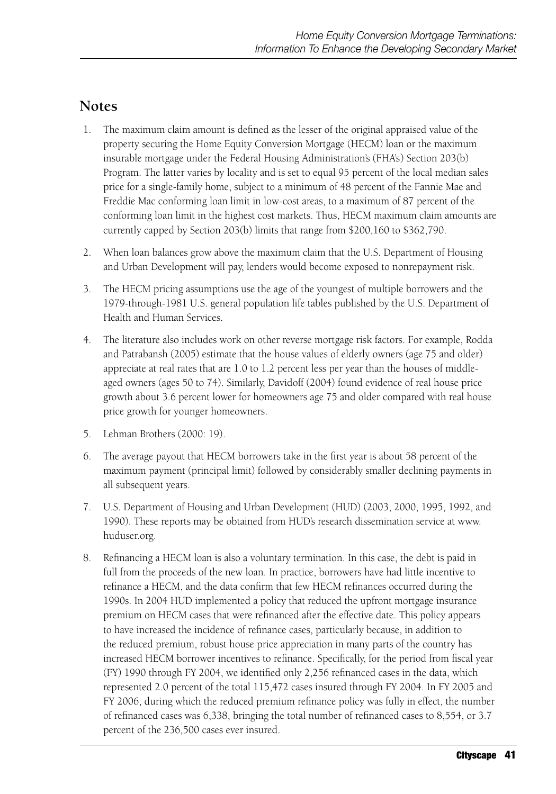## **Notes**

- 1. The maximum claim amount is defined as the lesser of the original appraised value of the property securing the Home Equity Conversion Mortgage (HECM) loan or the maximum insurable mortgage under the Federal Housing Administration's (FHA's) Section 203(b) Program. The latter varies by locality and is set to equal 95 percent of the local median sales price for a single-family home, subject to a minimum of 48 percent of the Fannie Mae and Freddie Mac conforming loan limit in low-cost areas, to a maximum of 87 percent of the conforming loan limit in the highest cost markets. Thus, HECM maximum claim amounts are currently capped by Section 203(b) limits that range from \$200,160 to \$362,790.
- 2. When loan balances grow above the maximum claim that the U.S. Department of Housing and Urban Development will pay, lenders would become exposed to nonrepayment risk.
- 3. The HECM pricing assumptions use the age of the youngest of multiple borrowers and the 1979-through-1981 U.S. general population life tables published by the U.S. Department of Health and Human Services.
- 4. The literature also includes work on other reverse mortgage risk factors. For example, Rodda and Patrabansh (2005) estimate that the house values of elderly owners (age 75 and older) appreciate at real rates that are 1.0 to 1.2 percent less per year than the houses of middleaged owners (ages 50 to 74). Similarly, Davidoff (2004) found evidence of real house price growth about 3.6 percent lower for homeowners age 75 and older compared with real house price growth for younger homeowners.
- 5. Lehman Brothers (2000: 19).
- 6. The average payout that HECM borrowers take in the first year is about 58 percent of the maximum payment (principal limit) followed by considerably smaller declining payments in all subsequent years.
- 7. U.S. Department of Housing and Urban Development (HUD) (2003, 2000, 1995, 1992, and 1990). These reports may be obtained from HUD's research dissemination service at www. huduser.org.
- 8. Refinancing a HECM loan is also a voluntary termination. In this case, the debt is paid in full from the proceeds of the new loan. In practice, borrowers have had little incentive to refinance a HECM, and the data confirm that few HECM refinances occurred during the 1990s. In 2004 HUD implemented a policy that reduced the upfront mortgage insurance premium on HECM cases that were refinanced after the effective date. This policy appears to have increased the incidence of refinance cases, particularly because, in addition to the reduced premium, robust house price appreciation in many parts of the country has increased HECM borrower incentives to refinance. Specifically, for the period from fiscal year (FY) 1990 through FY 2004, we identified only 2,256 refinanced cases in the data, which represented 2.0 percent of the total 115,472 cases insured through FY 2004. In FY 2005 and FY 2006, during which the reduced premium refinance policy was fully in effect, the number of refinanced cases was 6,338, bringing the total number of refinanced cases to 8,554, or 3.7 percent of the 236,500 cases ever insured.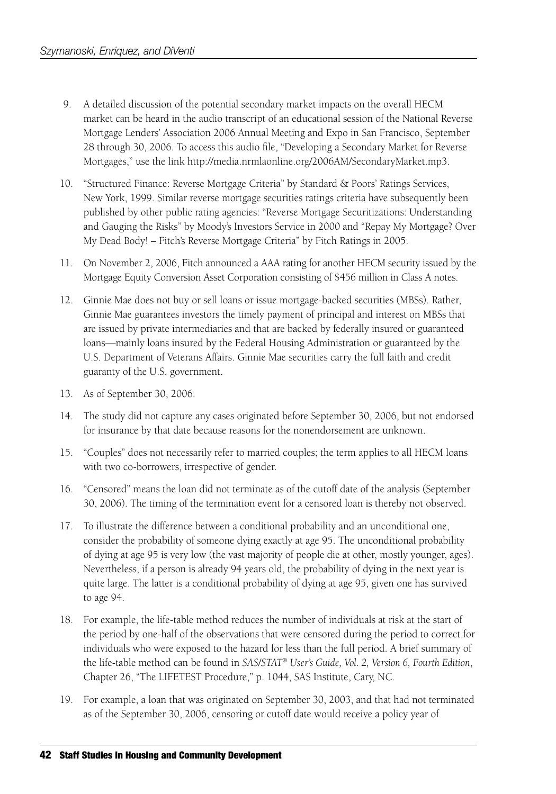- 9. A detailed discussion of the potential secondary market impacts on the overall HECM market can be heard in the audio transcript of an educational session of the National Reverse Mortgage Lenders' Association 2006 Annual Meeting and Expo in San Francisco, September 28 through 30, 2006. To access this audio file, "Developing a Secondary Market for Reverse Mortgages," use the link http://media.nrmlaonline.org/2006AM/SecondaryMarket.mp3.
- 10. "Structured Finance: Reverse Mortgage Criteria" by Standard & Poors' Ratings Services, New York, 1999. Similar reverse mortgage securities ratings criteria have subsequently been published by other public rating agencies: "Reverse Mortgage Securitizations: Understanding and Gauging the Risks" by Moody's Investors Service in 2000 and "Repay My Mortgage? Over My Dead Body! – Fitch's Reverse Mortgage Criteria" by Fitch Ratings in 2005.
- 11. On November 2, 2006, Fitch announced a AAA rating for another HECM security issued by the Mortgage Equity Conversion Asset Corporation consisting of \$456 million in Class A notes.
- 12. Ginnie Mae does not buy or sell loans or issue mortgage-backed securities (MBSs). Rather, Ginnie Mae guarantees investors the timely payment of principal and interest on MBSs that are issued by private intermediaries and that are backed by federally insured or guaranteed loans—mainly loans insured by the Federal Housing Administration or guaranteed by the U.S. Department of Veterans Affairs. Ginnie Mae securities carry the full faith and credit guaranty of the U.S. government.
- 13. As of September 30, 2006.
- 14. The study did not capture any cases originated before September 30, 2006, but not endorsed for insurance by that date because reasons for the nonendorsement are unknown.
- 15. "Couples" does not necessarily refer to married couples; the term applies to all HECM loans with two co-borrowers, irrespective of gender.
- 16. "Censored" means the loan did not terminate as of the cutoff date of the analysis (September 30, 2006). The timing of the termination event for a censored loan is thereby not observed.
- 17. To illustrate the difference between a conditional probability and an unconditional one, consider the probability of someone dying exactly at age 95. The unconditional probability of dying at age 95 is very low (the vast majority of people die at other, mostly younger, ages). Nevertheless, if a person is already 94 years old, the probability of dying in the next year is quite large. The latter is a conditional probability of dying at age 95, given one has survived to age 94.
- 18. For example, the life-table method reduces the number of individuals at risk at the start of the period by one-half of the observations that were censored during the period to correct for individuals who were exposed to the hazard for less than the full period. A brief summary of the life-table method can be found in *SAS/STAT*® *User's Guide, Vol. 2, Version 6, Fourth Edition*, Chapter 26, "The LIFETEST Procedure," p. 1044, SAS Institute, Cary, NC.
- 19. For example, a loan that was originated on September 30, 2003, and that had not terminated as of the September 30, 2006, censoring or cutoff date would receive a policy year of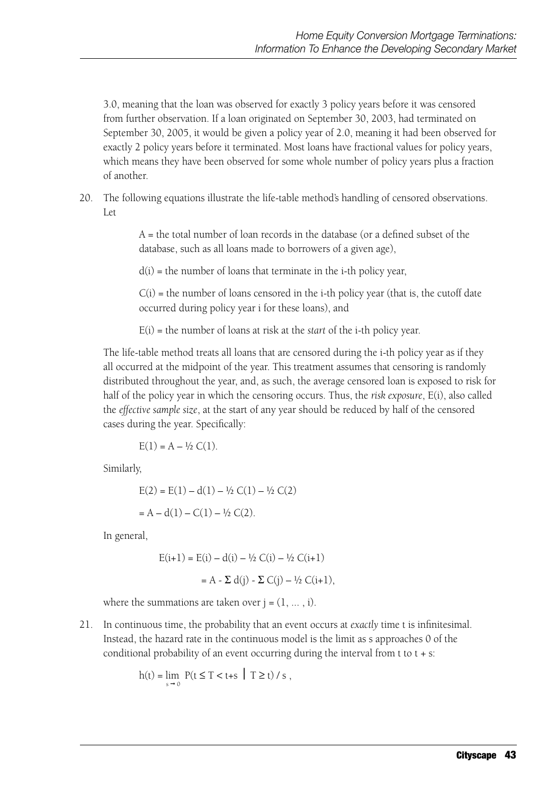3.0, meaning that the loan was observed for exactly 3 policy years before it was censored from further observation. If a loan originated on September 30, 2003, had terminated on September 30, 2005, it would be given a policy year of 2.0, meaning it had been observed for exactly 2 policy years before it terminated. Most loans have fractional values for policy years, which means they have been observed for some whole number of policy years plus a fraction of another.

20. The following equations illustrate the life-table method's handling of censored observations. Let

> A = the total number of loan records in the database (or a defined subset of the database, such as all loans made to borrowers of a given age),

 $d(i)$  = the number of loans that terminate in the i-th policy year,

 $C(i)$  = the number of loans censored in the i-th policy year (that is, the cutoff date occurred during policy year i for these loans), and

E(i) = the number of loans at risk at the *start* of the i-th policy year.

The life-table method treats all loans that are censored during the i-th policy year as if they all occurred at the midpoint of the year. This treatment assumes that censoring is randomly distributed throughout the year, and, as such, the average censored loan is exposed to risk for half of the policy year in which the censoring occurs. Thus, the *risk exposure*, E(i), also called the *effective sample size*, at the start of any year should be reduced by half of the censored cases during the year. Specifically:

$$
E(1) = A - \frac{1}{2} C(1).
$$

Similarly,

$$
E(2) = E(1) - d(1) - \frac{1}{2} C(1) - \frac{1}{2} C(2)
$$

$$
= A - d(1) - C(1) - \frac{1}{2} C(2).
$$

In general,

$$
E(i+1) = E(i) - d(i) - \frac{1}{2} C(i) - \frac{1}{2} C(i+1)
$$

$$
= A - \sum d(j) - \sum C(j) - \frac{1}{2} C(i+1),
$$

where the summations are taken over  $j = (1, \ldots, i)$ .

21. In continuous time, the probability that an event occurs at *exactly* time t is infinitesimal. Instead, the hazard rate in the continuous model is the limit as s approaches 0 of the conditional probability of an event occurring during the interval from  $t$  to  $t + s$ :

$$
h(t) = \lim_{s \to 0} P(t \le T < t+s \mid T \ge t) / s,
$$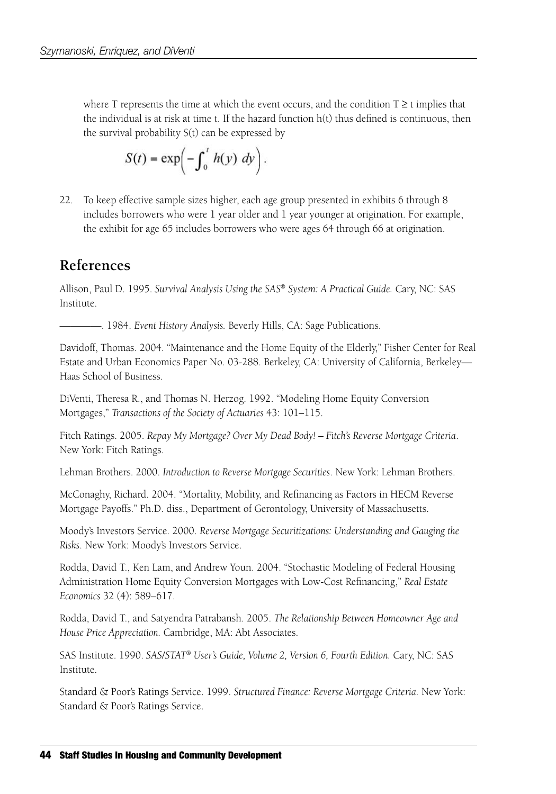where T represents the time at which the event occurs, and the condition  $T \ge t$  implies that the individual is at risk at time t. If the hazard function  $h(t)$  thus defined is continuous, then the survival probability S(t) can be expressed by

$$
S(t) = \exp\left(-\int_0^t h(y) \ dy\right).
$$

22. To keep effective sample sizes higher, each age group presented in exhibits 6 through 8 includes borrowers who were 1 year older and 1 year younger at origination. For example, the exhibit for age 65 includes borrowers who were ages 64 through 66 at origination.

## **References**

Allison, Paul D. 1995. *Survival Analysis Using the SAS*® *System: A Practical Guide.* Cary, NC: SAS Institute.

————. 1984. *Event History Analysis.* Beverly Hills, CA: Sage Publications.

Davidoff, Thomas. 2004. "Maintenance and the Home Equity of the Elderly," Fisher Center for Real Estate and Urban Economics Paper No. 03-288. Berkeley, CA: University of California, Berkeley— Haas School of Business.

DiVenti, Theresa R., and Thomas N. Herzog. 1992. "Modeling Home Equity Conversion Mortgages," *Transactions of the Society of Actuaries* 43: 101–115.

Fitch Ratings. 2005. *Repay My Mortgage? Over My Dead Body! – Fitch's Reverse Mortgage Criteria*. New York: Fitch Ratings.

Lehman Brothers. 2000. *Introduction to Reverse Mortgage Securities*. New York: Lehman Brothers.

McConaghy, Richard. 2004. "Mortality, Mobility, and Refinancing as Factors in HECM Reverse Mortgage Payoffs." Ph.D. diss., Department of Gerontology, University of Massachusetts.

Moody's Investors Service. 2000. *Reverse Mortgage Securitizations: Understanding and Gauging the Risks*. New York: Moody's Investors Service.

Rodda, David T., Ken Lam, and Andrew Youn. 2004. "Stochastic Modeling of Federal Housing Administration Home Equity Conversion Mortgages with Low-Cost Refinancing," *Real Estate Economics* 32 (4): 589–617.

Rodda, David T., and Satyendra Patrabansh. 2005. *The Relationship Between Homeowner Age and House Price Appreciation.* Cambridge, MA: Abt Associates.

SAS Institute. 1990. *SAS/STAT*® *User's Guide, Volume 2, Version 6, Fourth Edition.* Cary, NC: SAS Institute.

Standard & Poor's Ratings Service. 1999. *Structured Finance: Reverse Mortgage Criteria.* New York: Standard & Poor's Ratings Service.